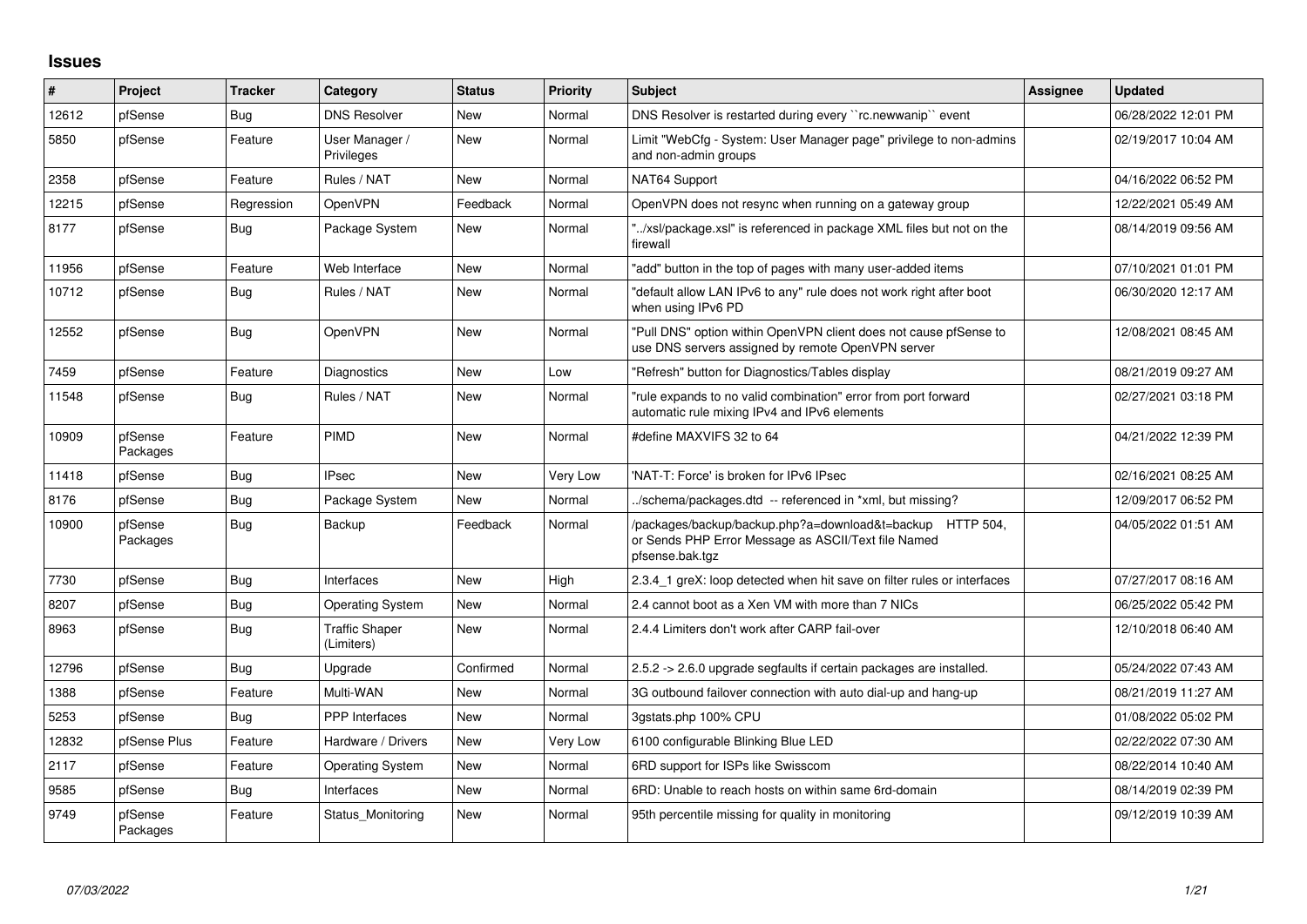## **Issues**

| ∦     | Project             | <b>Tracker</b> | Category                            | <b>Status</b> | <b>Priority</b> | <b>Subject</b>                                                                                                                      | <b>Assignee</b> | <b>Updated</b>      |
|-------|---------------------|----------------|-------------------------------------|---------------|-----------------|-------------------------------------------------------------------------------------------------------------------------------------|-----------------|---------------------|
| 12612 | pfSense             | Bug            | <b>DNS Resolver</b>                 | <b>New</b>    | Normal          | DNS Resolver is restarted during every "rc.newwanip" event                                                                          |                 | 06/28/2022 12:01 PM |
| 5850  | pfSense             | Feature        | User Manager /<br>Privileges        | New           | Normal          | Limit "WebCfg - System: User Manager page" privilege to non-admins<br>and non-admin groups                                          |                 | 02/19/2017 10:04 AM |
| 2358  | pfSense             | Feature        | Rules / NAT                         | <b>New</b>    | Normal          | NAT64 Support                                                                                                                       |                 | 04/16/2022 06:52 PM |
| 12215 | pfSense             | Regression     | <b>OpenVPN</b>                      | Feedback      | Normal          | OpenVPN does not resync when running on a gateway group                                                                             |                 | 12/22/2021 05:49 AM |
| 8177  | pfSense             | Bug            | Package System                      | New           | Normal          | "/xsl/package.xsl" is referenced in package XML files but not on the<br>firewall                                                    |                 | 08/14/2019 09:56 AM |
| 11956 | pfSense             | Feature        | Web Interface                       | <b>New</b>    | Normal          | 'add" button in the top of pages with many user-added items                                                                         |                 | 07/10/2021 01:01 PM |
| 10712 | pfSense             | Bug            | Rules / NAT                         | New           | Normal          | "default allow LAN IPv6 to any" rule does not work right after boot<br>when using IPv6 PD                                           |                 | 06/30/2020 12:17 AM |
| 12552 | pfSense             | <b>Bug</b>     | <b>OpenVPN</b>                      | New           | Normal          | "Pull DNS" option within OpenVPN client does not cause pfSense to<br>use DNS servers assigned by remote OpenVPN server              |                 | 12/08/2021 08:45 AM |
| 7459  | pfSense             | Feature        | <b>Diagnostics</b>                  | <b>New</b>    | Low             | "Refresh" button for Diagnostics/Tables display                                                                                     |                 | 08/21/2019 09:27 AM |
| 11548 | pfSense             | <b>Bug</b>     | Rules / NAT                         | New           | Normal          | "rule expands to no valid combination" error from port forward<br>automatic rule mixing IPv4 and IPv6 elements                      |                 | 02/27/2021 03:18 PM |
| 10909 | pfSense<br>Packages | Feature        | PIMD                                | <b>New</b>    | Normal          | #define MAXVIFS 32 to 64                                                                                                            |                 | 04/21/2022 12:39 PM |
| 11418 | pfSense             | Bug            | <b>IPsec</b>                        | <b>New</b>    | Very Low        | 'NAT-T: Force' is broken for IPv6 IPsec                                                                                             |                 | 02/16/2021 08:25 AM |
| 8176  | pfSense             | <b>Bug</b>     | Package System                      | New           | Normal          | ./schema/packages.dtd -- referenced in *xml, but missing?                                                                           |                 | 12/09/2017 06:52 PM |
| 10900 | pfSense<br>Packages | <b>Bug</b>     | Backup                              | Feedback      | Normal          | /packages/backup/backup.php?a=download&t=backup HTTP 504,<br>or Sends PHP Error Message as ASCII/Text file Named<br>pfsense.bak.tgz |                 | 04/05/2022 01:51 AM |
| 7730  | pfSense             | Bug            | Interfaces                          | New           | High            | 2.3.4 1 greX: loop detected when hit save on filter rules or interfaces                                                             |                 | 07/27/2017 08:16 AM |
| 8207  | pfSense             | Bug            | <b>Operating System</b>             | New           | Normal          | 2.4 cannot boot as a Xen VM with more than 7 NICs                                                                                   |                 | 06/25/2022 05:42 PM |
| 8963  | pfSense             | Bug            | <b>Traffic Shaper</b><br>(Limiters) | <b>New</b>    | Normal          | 2.4.4 Limiters don't work after CARP fail-over                                                                                      |                 | 12/10/2018 06:40 AM |
| 12796 | pfSense             | Bug            | Upgrade                             | Confirmed     | Normal          | 2.5.2 -> 2.6.0 upgrade segfaults if certain packages are installed.                                                                 |                 | 05/24/2022 07:43 AM |
| 1388  | pfSense             | Feature        | Multi-WAN                           | <b>New</b>    | Normal          | 3G outbound failover connection with auto dial-up and hang-up                                                                       |                 | 08/21/2019 11:27 AM |
| 5253  | pfSense             | <b>Bug</b>     | <b>PPP</b> Interfaces               | New           | Normal          | 3gstats.php 100% CPU                                                                                                                |                 | 01/08/2022 05:02 PM |
| 12832 | pfSense Plus        | Feature        | Hardware / Drivers                  | New           | Very Low        | 6100 configurable Blinking Blue LED                                                                                                 |                 | 02/22/2022 07:30 AM |
| 2117  | pfSense             | Feature        | <b>Operating System</b>             | <b>New</b>    | Normal          | 6RD support for ISPs like Swisscom                                                                                                  |                 | 08/22/2014 10:40 AM |
| 9585  | pfSense             | <b>Bug</b>     | Interfaces                          | New           | Normal          | 6RD: Unable to reach hosts on within same 6rd-domain                                                                                |                 | 08/14/2019 02:39 PM |
| 9749  | pfSense<br>Packages | Feature        | Status Monitoring                   | New           | Normal          | 95th percentile missing for quality in monitoring                                                                                   |                 | 09/12/2019 10:39 AM |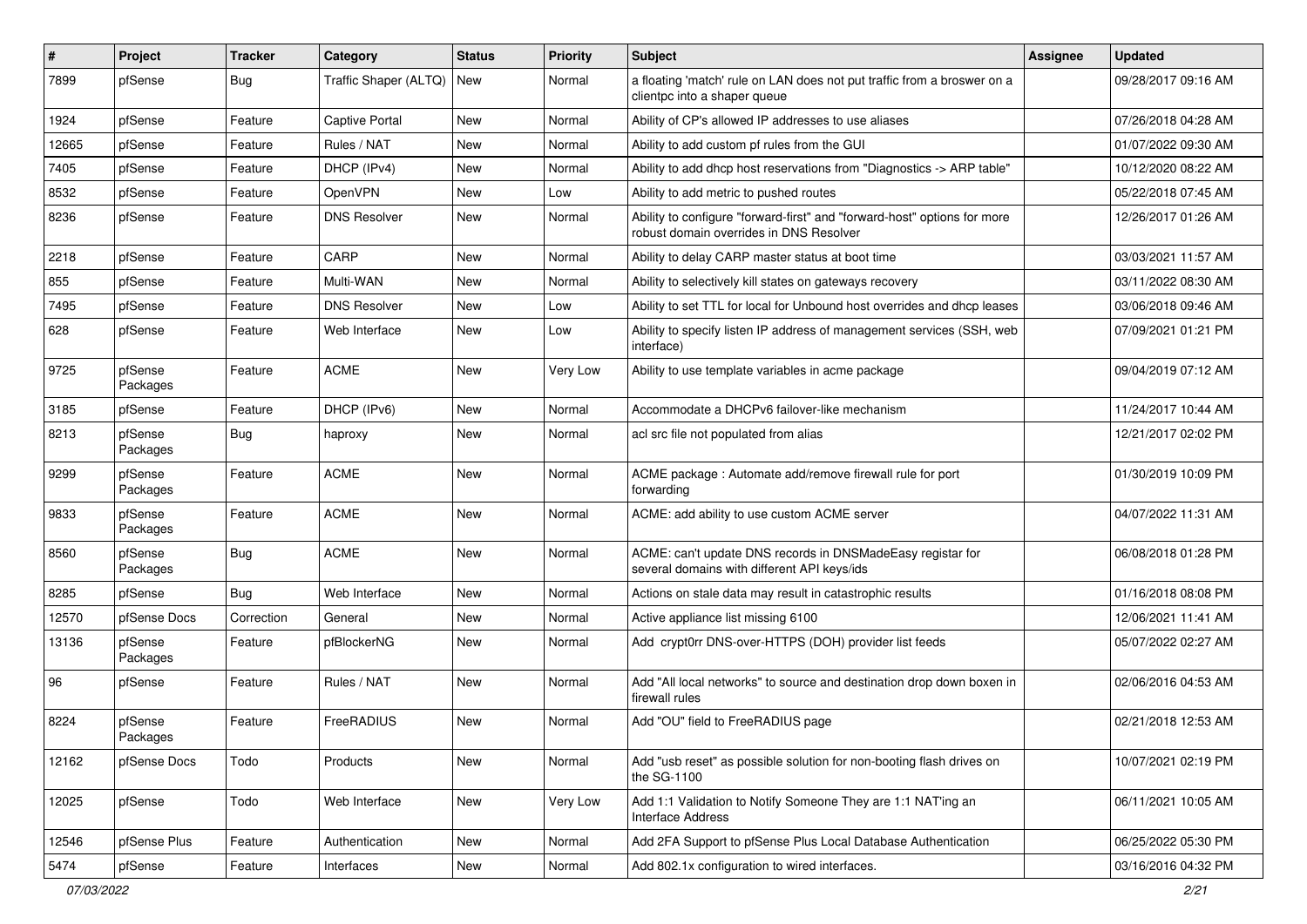| #     | Project             | <b>Tracker</b> | Category              | <b>Status</b> | Priority | <b>Subject</b>                                                                                                      | Assignee | <b>Updated</b>      |
|-------|---------------------|----------------|-----------------------|---------------|----------|---------------------------------------------------------------------------------------------------------------------|----------|---------------------|
| 7899  | pfSense             | Bug            | Traffic Shaper (ALTQ) | New           | Normal   | a floating 'match' rule on LAN does not put traffic from a broswer on a<br>clientpc into a shaper queue             |          | 09/28/2017 09:16 AM |
| 1924  | pfSense             | Feature        | Captive Portal        | <b>New</b>    | Normal   | Ability of CP's allowed IP addresses to use aliases                                                                 |          | 07/26/2018 04:28 AM |
| 12665 | pfSense             | Feature        | Rules / NAT           | <b>New</b>    | Normal   | Ability to add custom pf rules from the GUI                                                                         |          | 01/07/2022 09:30 AM |
| 7405  | pfSense             | Feature        | DHCP (IPv4)           | <b>New</b>    | Normal   | Ability to add dhcp host reservations from "Diagnostics -> ARP table"                                               |          | 10/12/2020 08:22 AM |
| 8532  | pfSense             | Feature        | OpenVPN               | New           | Low      | Ability to add metric to pushed routes                                                                              |          | 05/22/2018 07:45 AM |
| 8236  | pfSense             | Feature        | <b>DNS Resolver</b>   | New           | Normal   | Ability to configure "forward-first" and "forward-host" options for more<br>robust domain overrides in DNS Resolver |          | 12/26/2017 01:26 AM |
| 2218  | pfSense             | Feature        | CARP                  | <b>New</b>    | Normal   | Ability to delay CARP master status at boot time                                                                    |          | 03/03/2021 11:57 AM |
| 855   | pfSense             | Feature        | Multi-WAN             | New           | Normal   | Ability to selectively kill states on gateways recovery                                                             |          | 03/11/2022 08:30 AM |
| 7495  | pfSense             | Feature        | <b>DNS Resolver</b>   | New           | Low      | Ability to set TTL for local for Unbound host overrides and dhcp leases                                             |          | 03/06/2018 09:46 AM |
| 628   | pfSense             | Feature        | Web Interface         | New           | Low      | Ability to specify listen IP address of management services (SSH, web<br>interface)                                 |          | 07/09/2021 01:21 PM |
| 9725  | pfSense<br>Packages | Feature        | <b>ACME</b>           | <b>New</b>    | Very Low | Ability to use template variables in acme package                                                                   |          | 09/04/2019 07:12 AM |
| 3185  | pfSense             | Feature        | DHCP (IPv6)           | <b>New</b>    | Normal   | Accommodate a DHCPv6 failover-like mechanism                                                                        |          | 11/24/2017 10:44 AM |
| 8213  | pfSense<br>Packages | Bug            | haproxy               | New           | Normal   | acl src file not populated from alias                                                                               |          | 12/21/2017 02:02 PM |
| 9299  | pfSense<br>Packages | Feature        | <b>ACME</b>           | <b>New</b>    | Normal   | ACME package: Automate add/remove firewall rule for port<br>forwarding                                              |          | 01/30/2019 10:09 PM |
| 9833  | pfSense<br>Packages | Feature        | <b>ACME</b>           | <b>New</b>    | Normal   | ACME: add ability to use custom ACME server                                                                         |          | 04/07/2022 11:31 AM |
| 8560  | pfSense<br>Packages | <b>Bug</b>     | <b>ACME</b>           | <b>New</b>    | Normal   | ACME: can't update DNS records in DNSMadeEasy registar for<br>several domains with different API keys/ids           |          | 06/08/2018 01:28 PM |
| 8285  | pfSense             | Bug            | Web Interface         | New           | Normal   | Actions on stale data may result in catastrophic results                                                            |          | 01/16/2018 08:08 PM |
| 12570 | pfSense Docs        | Correction     | General               | <b>New</b>    | Normal   | Active appliance list missing 6100                                                                                  |          | 12/06/2021 11:41 AM |
| 13136 | pfSense<br>Packages | Feature        | pfBlockerNG           | <b>New</b>    | Normal   | Add crypt0rr DNS-over-HTTPS (DOH) provider list feeds                                                               |          | 05/07/2022 02:27 AM |
| 96    | pfSense             | Feature        | Rules / NAT           | <b>New</b>    | Normal   | Add "All local networks" to source and destination drop down boxen in<br>firewall rules                             |          | 02/06/2016 04:53 AM |
| 8224  | pfSense<br>Packages | Feature        | FreeRADIUS            | <b>New</b>    | Normal   | Add "OU" field to FreeRADIUS page                                                                                   |          | 02/21/2018 12:53 AM |
| 12162 | pfSense Docs        | Todo           | Products              | New           | Normal   | Add "usb reset" as possible solution for non-booting flash drives on<br>the SG-1100                                 |          | 10/07/2021 02:19 PM |
| 12025 | pfSense             | Todo           | Web Interface         | New           | Very Low | Add 1:1 Validation to Notify Someone They are 1:1 NAT'ing an<br><b>Interface Address</b>                            |          | 06/11/2021 10:05 AM |
| 12546 | pfSense Plus        | Feature        | Authentication        | New           | Normal   | Add 2FA Support to pfSense Plus Local Database Authentication                                                       |          | 06/25/2022 05:30 PM |
| 5474  | pfSense             | Feature        | Interfaces            | New           | Normal   | Add 802.1x configuration to wired interfaces.                                                                       |          | 03/16/2016 04:32 PM |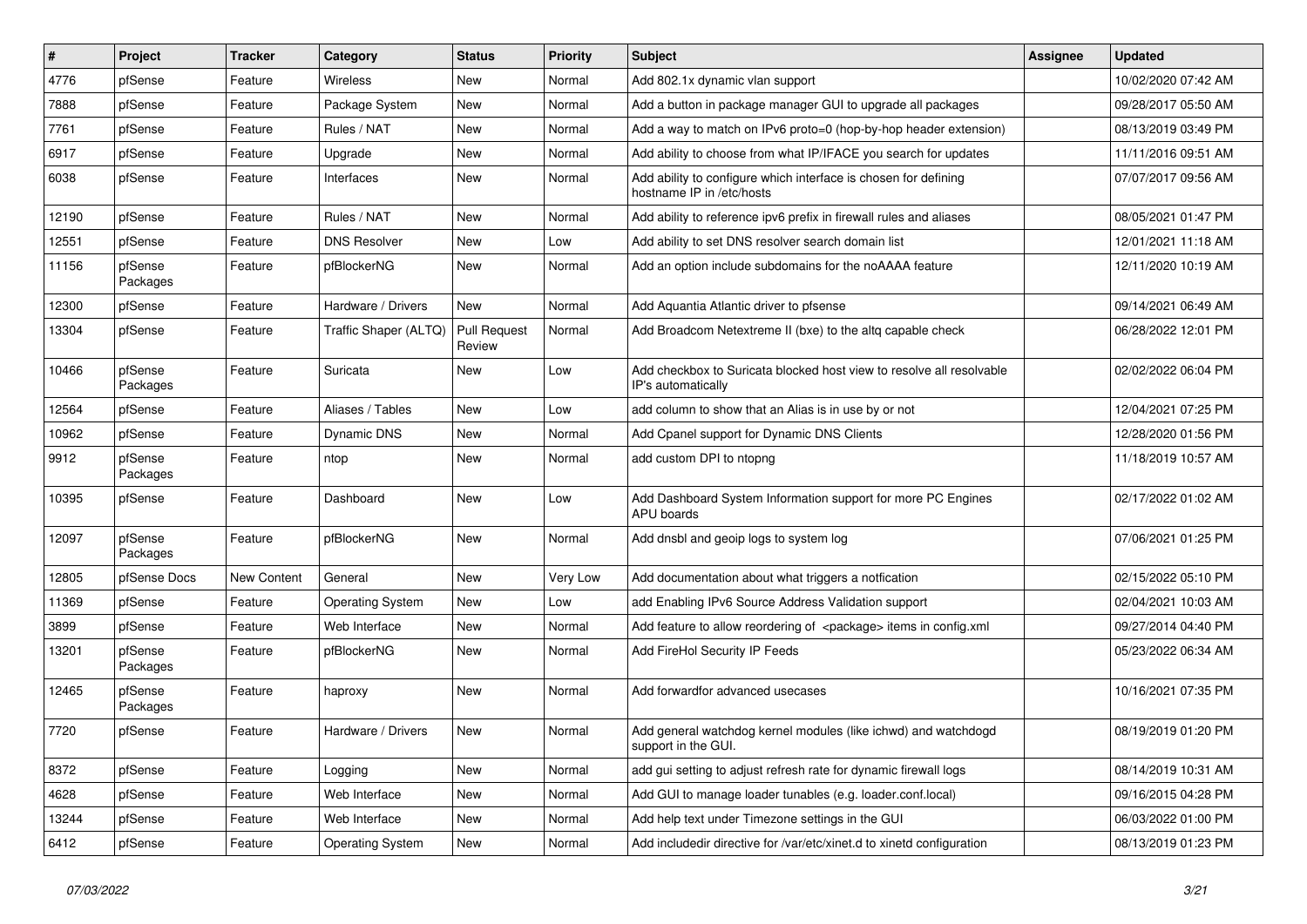| $\vert$ # | Project             | <b>Tracker</b> | Category                | <b>Status</b>                 | <b>Priority</b> | Subject                                                                                      | Assignee | <b>Updated</b>      |
|-----------|---------------------|----------------|-------------------------|-------------------------------|-----------------|----------------------------------------------------------------------------------------------|----------|---------------------|
| 4776      | pfSense             | Feature        | Wireless                | New                           | Normal          | Add 802.1x dynamic vlan support                                                              |          | 10/02/2020 07:42 AM |
| 7888      | pfSense             | Feature        | Package System          | <b>New</b>                    | Normal          | Add a button in package manager GUI to upgrade all packages                                  |          | 09/28/2017 05:50 AM |
| 7761      | pfSense             | Feature        | Rules / NAT             | New                           | Normal          | Add a way to match on IPv6 proto=0 (hop-by-hop header extension)                             |          | 08/13/2019 03:49 PM |
| 6917      | pfSense             | Feature        | Upgrade                 | <b>New</b>                    | Normal          | Add ability to choose from what IP/IFACE you search for updates                              |          | 11/11/2016 09:51 AM |
| 6038      | pfSense             | Feature        | Interfaces              | New                           | Normal          | Add ability to configure which interface is chosen for defining<br>hostname IP in /etc/hosts |          | 07/07/2017 09:56 AM |
| 12190     | pfSense             | Feature        | Rules / NAT             | <b>New</b>                    | Normal          | Add ability to reference ipv6 prefix in firewall rules and aliases                           |          | 08/05/2021 01:47 PM |
| 12551     | pfSense             | Feature        | <b>DNS Resolver</b>     | <b>New</b>                    | Low             | Add ability to set DNS resolver search domain list                                           |          | 12/01/2021 11:18 AM |
| 11156     | pfSense<br>Packages | Feature        | pfBlockerNG             | <b>New</b>                    | Normal          | Add an option include subdomains for the noAAAA feature                                      |          | 12/11/2020 10:19 AM |
| 12300     | pfSense             | Feature        | Hardware / Drivers      | New                           | Normal          | Add Aquantia Atlantic driver to pfsense                                                      |          | 09/14/2021 06:49 AM |
| 13304     | pfSense             | Feature        | Traffic Shaper (ALTQ)   | <b>Pull Request</b><br>Review | Normal          | Add Broadcom Netextreme II (bxe) to the altq capable check                                   |          | 06/28/2022 12:01 PM |
| 10466     | pfSense<br>Packages | Feature        | Suricata                | New                           | Low             | Add checkbox to Suricata blocked host view to resolve all resolvable<br>IP's automatically   |          | 02/02/2022 06:04 PM |
| 12564     | pfSense             | Feature        | Aliases / Tables        | New                           | Low             | add column to show that an Alias is in use by or not                                         |          | 12/04/2021 07:25 PM |
| 10962     | pfSense             | Feature        | Dynamic DNS             | New                           | Normal          | Add Cpanel support for Dynamic DNS Clients                                                   |          | 12/28/2020 01:56 PM |
| 9912      | pfSense<br>Packages | Feature        | ntop                    | New                           | Normal          | add custom DPI to ntopng                                                                     |          | 11/18/2019 10:57 AM |
| 10395     | pfSense             | Feature        | Dashboard               | New                           | Low             | Add Dashboard System Information support for more PC Engines<br>APU boards                   |          | 02/17/2022 01:02 AM |
| 12097     | pfSense<br>Packages | Feature        | pfBlockerNG             | <b>New</b>                    | Normal          | Add dnsbl and geoip logs to system log                                                       |          | 07/06/2021 01:25 PM |
| 12805     | pfSense Docs        | New Content    | General                 | New                           | Very Low        | Add documentation about what triggers a notfication                                          |          | 02/15/2022 05:10 PM |
| 11369     | pfSense             | Feature        | <b>Operating System</b> | New                           | Low             | add Enabling IPv6 Source Address Validation support                                          |          | 02/04/2021 10:03 AM |
| 3899      | pfSense             | Feature        | Web Interface           | New                           | Normal          | Add feature to allow reordering of <package> items in config.xml</package>                   |          | 09/27/2014 04:40 PM |
| 13201     | pfSense<br>Packages | Feature        | pfBlockerNG             | New                           | Normal          | Add FireHol Security IP Feeds                                                                |          | 05/23/2022 06:34 AM |
| 12465     | pfSense<br>Packages | Feature        | haproxy                 | <b>New</b>                    | Normal          | Add forwardfor advanced usecases                                                             |          | 10/16/2021 07:35 PM |
| 7720      | pfSense             | Feature        | Hardware / Drivers      | <b>New</b>                    | Normal          | Add general watchdog kernel modules (like ichwd) and watchdogd<br>support in the GUI.        |          | 08/19/2019 01:20 PM |
| 8372      | pfSense             | Feature        | Logging                 | New                           | Normal          | add gui setting to adjust refresh rate for dynamic firewall logs                             |          | 08/14/2019 10:31 AM |
| 4628      | pfSense             | Feature        | Web Interface           | New                           | Normal          | Add GUI to manage loader tunables (e.g. loader.conf.local)                                   |          | 09/16/2015 04:28 PM |
| 13244     | pfSense             | Feature        | Web Interface           | New                           | Normal          | Add help text under Timezone settings in the GUI                                             |          | 06/03/2022 01:00 PM |
| 6412      | pfSense             | Feature        | <b>Operating System</b> | New                           | Normal          | Add includedir directive for /var/etc/xinet.d to xinetd configuration                        |          | 08/13/2019 01:23 PM |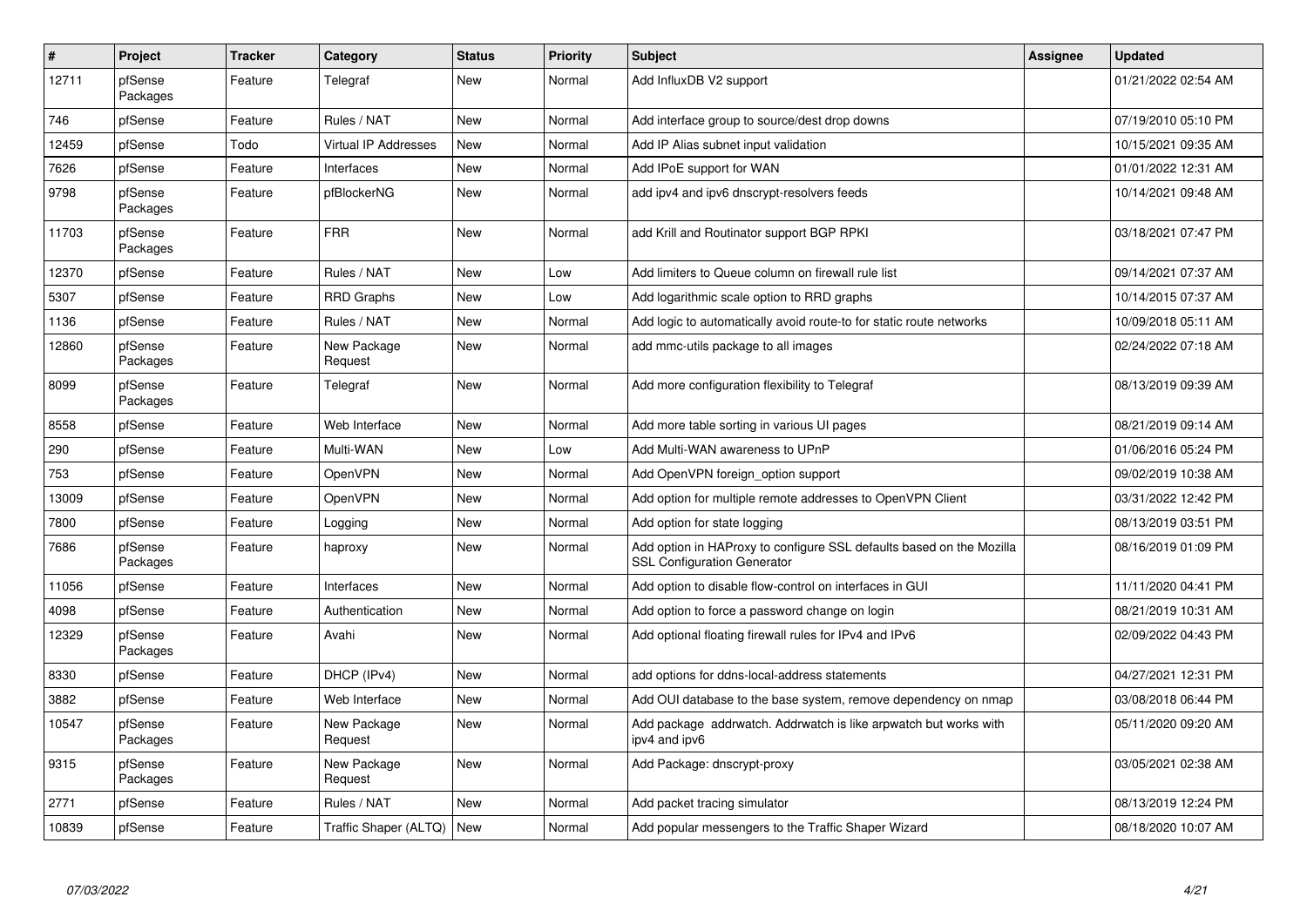| $\pmb{\#}$ | <b>Project</b>      | <b>Tracker</b> | Category                    | <b>Status</b> | <b>Priority</b> | <b>Subject</b>                                                                                             | <b>Assignee</b> | <b>Updated</b>      |
|------------|---------------------|----------------|-----------------------------|---------------|-----------------|------------------------------------------------------------------------------------------------------------|-----------------|---------------------|
| 12711      | pfSense<br>Packages | Feature        | Telegraf                    | New           | Normal          | Add InfluxDB V2 support                                                                                    |                 | 01/21/2022 02:54 AM |
| 746        | pfSense             | Feature        | Rules / NAT                 | New           | Normal          | Add interface group to source/dest drop downs                                                              |                 | 07/19/2010 05:10 PM |
| 12459      | pfSense             | Todo           | <b>Virtual IP Addresses</b> | New           | Normal          | Add IP Alias subnet input validation                                                                       |                 | 10/15/2021 09:35 AM |
| 7626       | pfSense             | Feature        | Interfaces                  | New           | Normal          | Add IPoE support for WAN                                                                                   |                 | 01/01/2022 12:31 AM |
| 9798       | pfSense<br>Packages | Feature        | pfBlockerNG                 | New           | Normal          | add ipv4 and ipv6 dnscrypt-resolvers feeds                                                                 |                 | 10/14/2021 09:48 AM |
| 11703      | pfSense<br>Packages | Feature        | <b>FRR</b>                  | New           | Normal          | add Krill and Routinator support BGP RPKI                                                                  |                 | 03/18/2021 07:47 PM |
| 12370      | pfSense             | Feature        | Rules / NAT                 | New           | Low             | Add limiters to Queue column on firewall rule list                                                         |                 | 09/14/2021 07:37 AM |
| 5307       | pfSense             | Feature        | <b>RRD Graphs</b>           | New           | Low             | Add logarithmic scale option to RRD graphs                                                                 |                 | 10/14/2015 07:37 AM |
| 1136       | pfSense             | Feature        | Rules / NAT                 | New           | Normal          | Add logic to automatically avoid route-to for static route networks                                        |                 | 10/09/2018 05:11 AM |
| 12860      | pfSense<br>Packages | Feature        | New Package<br>Request      | New           | Normal          | add mmc-utils package to all images                                                                        |                 | 02/24/2022 07:18 AM |
| 8099       | pfSense<br>Packages | Feature        | Telegraf                    | New           | Normal          | Add more configuration flexibility to Telegraf                                                             |                 | 08/13/2019 09:39 AM |
| 8558       | pfSense             | Feature        | Web Interface               | New           | Normal          | Add more table sorting in various UI pages                                                                 |                 | 08/21/2019 09:14 AM |
| 290        | pfSense             | Feature        | Multi-WAN                   | New           | Low             | Add Multi-WAN awareness to UPnP                                                                            |                 | 01/06/2016 05:24 PM |
| 753        | pfSense             | Feature        | OpenVPN                     | New           | Normal          | Add OpenVPN foreign option support                                                                         |                 | 09/02/2019 10:38 AM |
| 13009      | pfSense             | Feature        | <b>OpenVPN</b>              | New           | Normal          | Add option for multiple remote addresses to OpenVPN Client                                                 |                 | 03/31/2022 12:42 PM |
| 7800       | pfSense             | Feature        | Logging                     | New           | Normal          | Add option for state logging                                                                               |                 | 08/13/2019 03:51 PM |
| 7686       | pfSense<br>Packages | Feature        | haproxy                     | New           | Normal          | Add option in HAProxy to configure SSL defaults based on the Mozilla<br><b>SSL Configuration Generator</b> |                 | 08/16/2019 01:09 PM |
| 11056      | pfSense             | Feature        | Interfaces                  | <b>New</b>    | Normal          | Add option to disable flow-control on interfaces in GUI                                                    |                 | 11/11/2020 04:41 PM |
| 4098       | pfSense             | Feature        | Authentication              | New           | Normal          | Add option to force a password change on login                                                             |                 | 08/21/2019 10:31 AM |
| 12329      | pfSense<br>Packages | Feature        | Avahi                       | <b>New</b>    | Normal          | Add optional floating firewall rules for IPv4 and IPv6                                                     |                 | 02/09/2022 04:43 PM |
| 8330       | pfSense             | Feature        | DHCP (IPv4)                 | New           | Normal          | add options for ddns-local-address statements                                                              |                 | 04/27/2021 12:31 PM |
| 3882       | pfSense             | Feature        | Web Interface               | New           | Normal          | Add OUI database to the base system, remove dependency on nmap                                             |                 | 03/08/2018 06:44 PM |
| 10547      | pfSense<br>Packages | Feature        | New Package<br>Request      | New           | Normal          | Add package addrwatch. Addrwatch is like arpwatch but works with<br>ipv4 and ipv6                          |                 | 05/11/2020 09:20 AM |
| 9315       | pfSense<br>Packages | Feature        | New Package<br>Request      | New           | Normal          | Add Package: dnscrypt-proxy                                                                                |                 | 03/05/2021 02:38 AM |
| 2771       | pfSense             | Feature        | Rules / NAT                 | <b>New</b>    | Normal          | Add packet tracing simulator                                                                               |                 | 08/13/2019 12:24 PM |
| 10839      | pfSense             | Feature        | Traffic Shaper (ALTQ)       | New           | Normal          | Add popular messengers to the Traffic Shaper Wizard                                                        |                 | 08/18/2020 10:07 AM |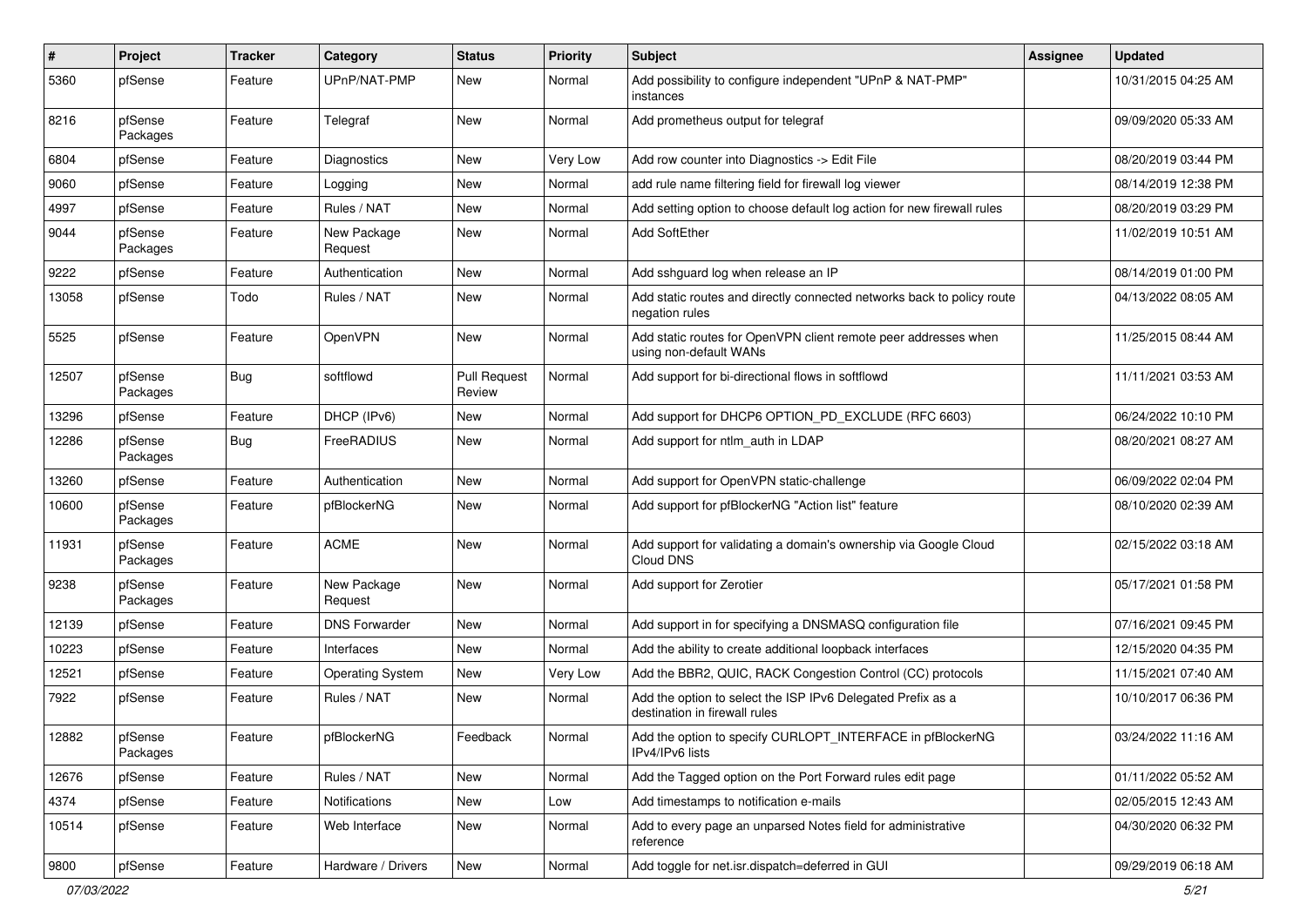| $\pmb{\#}$ | Project             | <b>Tracker</b> | Category                | <b>Status</b>                 | <b>Priority</b> | Subject                                                                                      | Assignee | <b>Updated</b>      |
|------------|---------------------|----------------|-------------------------|-------------------------------|-----------------|----------------------------------------------------------------------------------------------|----------|---------------------|
| 5360       | pfSense             | Feature        | UPnP/NAT-PMP            | New                           | Normal          | Add possibility to configure independent "UPnP & NAT-PMP"<br>instances                       |          | 10/31/2015 04:25 AM |
| 8216       | pfSense<br>Packages | Feature        | Telegraf                | New                           | Normal          | Add prometheus output for telegraf                                                           |          | 09/09/2020 05:33 AM |
| 6804       | pfSense             | Feature        | Diagnostics             | New                           | Very Low        | Add row counter into Diagnostics -> Edit File                                                |          | 08/20/2019 03:44 PM |
| 9060       | pfSense             | Feature        | Logging                 | New                           | Normal          | add rule name filtering field for firewall log viewer                                        |          | 08/14/2019 12:38 PM |
| 4997       | pfSense             | Feature        | Rules / NAT             | New                           | Normal          | Add setting option to choose default log action for new firewall rules                       |          | 08/20/2019 03:29 PM |
| 9044       | pfSense<br>Packages | Feature        | New Package<br>Request  | New                           | Normal          | <b>Add SoftEther</b>                                                                         |          | 11/02/2019 10:51 AM |
| 9222       | pfSense             | Feature        | Authentication          | New                           | Normal          | Add sshguard log when release an IP                                                          |          | 08/14/2019 01:00 PM |
| 13058      | pfSense             | Todo           | Rules / NAT             | New                           | Normal          | Add static routes and directly connected networks back to policy route<br>negation rules     |          | 04/13/2022 08:05 AM |
| 5525       | pfSense             | Feature        | OpenVPN                 | New                           | Normal          | Add static routes for OpenVPN client remote peer addresses when<br>using non-default WANs    |          | 11/25/2015 08:44 AM |
| 12507      | pfSense<br>Packages | Bug            | softflowd               | <b>Pull Request</b><br>Review | Normal          | Add support for bi-directional flows in softflowd                                            |          | 11/11/2021 03:53 AM |
| 13296      | pfSense             | Feature        | DHCP (IPv6)             | New                           | Normal          | Add support for DHCP6 OPTION_PD_EXCLUDE (RFC 6603)                                           |          | 06/24/2022 10:10 PM |
| 12286      | pfSense<br>Packages | Bug            | FreeRADIUS              | New                           | Normal          | Add support for ntlm auth in LDAP                                                            |          | 08/20/2021 08:27 AM |
| 13260      | pfSense             | Feature        | Authentication          | New                           | Normal          | Add support for OpenVPN static-challenge                                                     |          | 06/09/2022 02:04 PM |
| 10600      | pfSense<br>Packages | Feature        | pfBlockerNG             | New                           | Normal          | Add support for pfBlockerNG "Action list" feature                                            |          | 08/10/2020 02:39 AM |
| 11931      | pfSense<br>Packages | Feature        | <b>ACME</b>             | New                           | Normal          | Add support for validating a domain's ownership via Google Cloud<br>Cloud DNS                |          | 02/15/2022 03:18 AM |
| 9238       | pfSense<br>Packages | Feature        | New Package<br>Request  | New                           | Normal          | Add support for Zerotier                                                                     |          | 05/17/2021 01:58 PM |
| 12139      | pfSense             | Feature        | <b>DNS Forwarder</b>    | New                           | Normal          | Add support in for specifying a DNSMASQ configuration file                                   |          | 07/16/2021 09:45 PM |
| 10223      | pfSense             | Feature        | Interfaces              | New                           | Normal          | Add the ability to create additional loopback interfaces                                     |          | 12/15/2020 04:35 PM |
| 12521      | pfSense             | Feature        | <b>Operating System</b> | New                           | Very Low        | Add the BBR2, QUIC, RACK Congestion Control (CC) protocols                                   |          | 11/15/2021 07:40 AM |
| 7922       | pfSense             | Feature        | Rules / NAT             | New                           | Normal          | Add the option to select the ISP IPv6 Delegated Prefix as a<br>destination in firewall rules |          | 10/10/2017 06:36 PM |
| 12882      | pfSense<br>Packages | Feature        | pfBlockerNG             | Feedback                      | Normal          | Add the option to specify CURLOPT_INTERFACE in pfBlockerNG<br>IPv4/IPv6 lists                |          | 03/24/2022 11:16 AM |
| 12676      | pfSense             | Feature        | Rules / NAT             | New                           | Normal          | Add the Tagged option on the Port Forward rules edit page                                    |          | 01/11/2022 05:52 AM |
| 4374       | pfSense             | Feature        | Notifications           | New                           | Low             | Add timestamps to notification e-mails                                                       |          | 02/05/2015 12:43 AM |
| 10514      | pfSense             | Feature        | Web Interface           | New                           | Normal          | Add to every page an unparsed Notes field for administrative<br>reference                    |          | 04/30/2020 06:32 PM |
| 9800       | pfSense             | Feature        | Hardware / Drivers      | New                           | Normal          | Add toggle for net.isr.dispatch=deferred in GUI                                              |          | 09/29/2019 06:18 AM |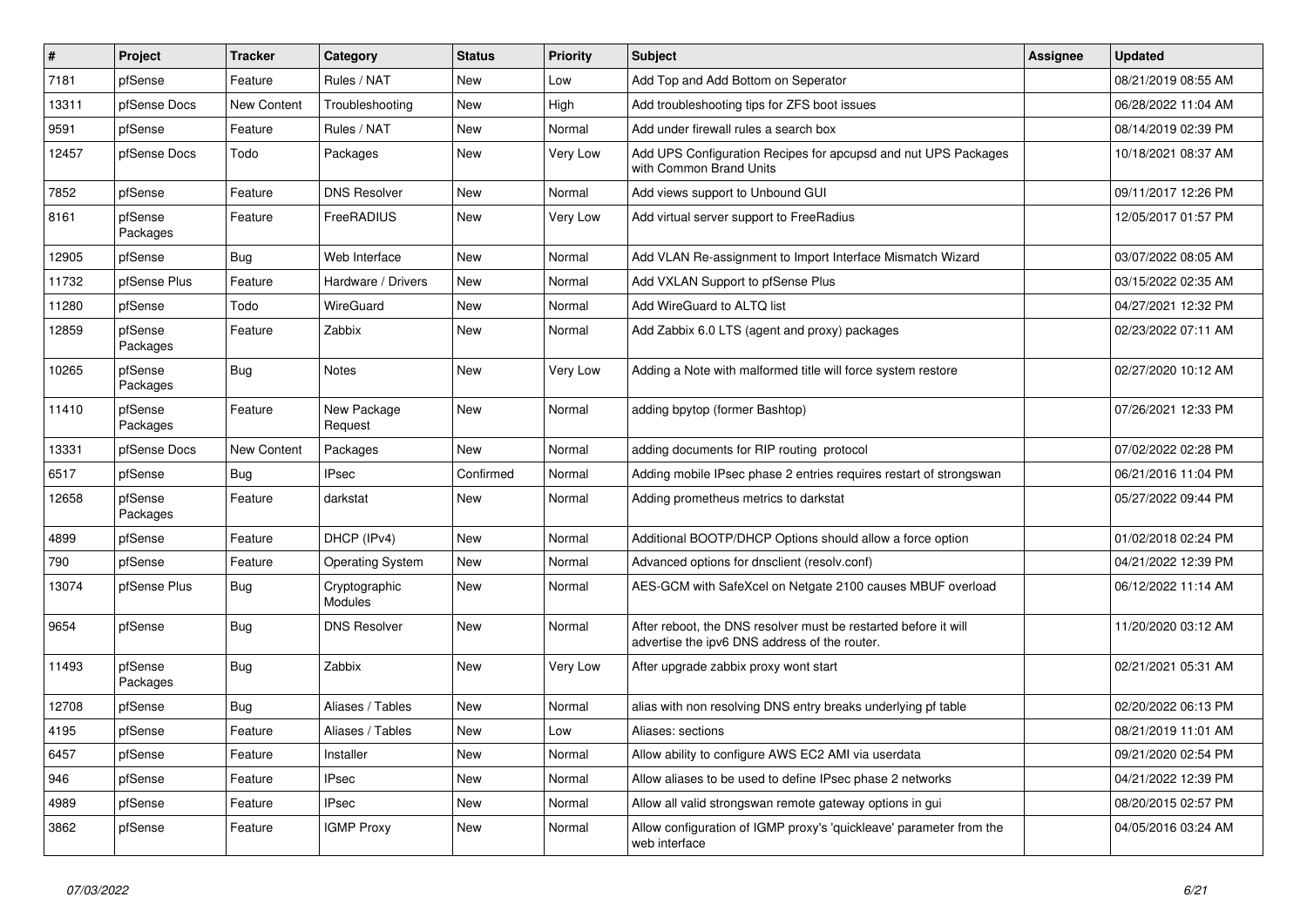| $\vert$ # | Project             | <b>Tracker</b> | Category                        | <b>Status</b> | <b>Priority</b> | <b>Subject</b>                                                                                                   | <b>Assignee</b> | <b>Updated</b>      |
|-----------|---------------------|----------------|---------------------------------|---------------|-----------------|------------------------------------------------------------------------------------------------------------------|-----------------|---------------------|
| 7181      | pfSense             | Feature        | Rules / NAT                     | <b>New</b>    | Low             | Add Top and Add Bottom on Seperator                                                                              |                 | 08/21/2019 08:55 AM |
| 13311     | pfSense Docs        | New Content    | Troubleshooting                 | <b>New</b>    | High            | Add troubleshooting tips for ZFS boot issues                                                                     |                 | 06/28/2022 11:04 AM |
| 9591      | pfSense             | Feature        | Rules / NAT                     | New           | Normal          | Add under firewall rules a search box                                                                            |                 | 08/14/2019 02:39 PM |
| 12457     | pfSense Docs        | Todo           | Packages                        | New           | Very Low        | Add UPS Configuration Recipes for apcupsd and nut UPS Packages<br>with Common Brand Units                        |                 | 10/18/2021 08:37 AM |
| 7852      | pfSense             | Feature        | <b>DNS Resolver</b>             | <b>New</b>    | Normal          | Add views support to Unbound GUI                                                                                 |                 | 09/11/2017 12:26 PM |
| 8161      | pfSense<br>Packages | Feature        | FreeRADIUS                      | <b>New</b>    | Very Low        | Add virtual server support to FreeRadius                                                                         |                 | 12/05/2017 01:57 PM |
| 12905     | pfSense             | Bug            | Web Interface                   | <b>New</b>    | Normal          | Add VLAN Re-assignment to Import Interface Mismatch Wizard                                                       |                 | 03/07/2022 08:05 AM |
| 11732     | pfSense Plus        | Feature        | Hardware / Drivers              | New           | Normal          | Add VXLAN Support to pfSense Plus                                                                                |                 | 03/15/2022 02:35 AM |
| 11280     | pfSense             | Todo           | WireGuard                       | New           | Normal          | Add WireGuard to ALTQ list                                                                                       |                 | 04/27/2021 12:32 PM |
| 12859     | pfSense<br>Packages | Feature        | Zabbix                          | <b>New</b>    | Normal          | Add Zabbix 6.0 LTS (agent and proxy) packages                                                                    |                 | 02/23/2022 07:11 AM |
| 10265     | pfSense<br>Packages | Bug            | <b>Notes</b>                    | New           | Very Low        | Adding a Note with malformed title will force system restore                                                     |                 | 02/27/2020 10:12 AM |
| 11410     | pfSense<br>Packages | Feature        | New Package<br>Request          | <b>New</b>    | Normal          | adding bpytop (former Bashtop)                                                                                   |                 | 07/26/2021 12:33 PM |
| 13331     | pfSense Docs        | New Content    | Packages                        | <b>New</b>    | Normal          | adding documents for RIP routing protocol                                                                        |                 | 07/02/2022 02:28 PM |
| 6517      | pfSense             | <b>Bug</b>     | <b>IPsec</b>                    | Confirmed     | Normal          | Adding mobile IPsec phase 2 entries requires restart of strongswan                                               |                 | 06/21/2016 11:04 PM |
| 12658     | pfSense<br>Packages | Feature        | darkstat                        | New           | Normal          | Adding prometheus metrics to darkstat                                                                            |                 | 05/27/2022 09:44 PM |
| 4899      | pfSense             | Feature        | DHCP (IPv4)                     | New           | Normal          | Additional BOOTP/DHCP Options should allow a force option                                                        |                 | 01/02/2018 02:24 PM |
| 790       | pfSense             | Feature        | <b>Operating System</b>         | New           | Normal          | Advanced options for dnsclient (resolv.conf)                                                                     |                 | 04/21/2022 12:39 PM |
| 13074     | pfSense Plus        | Bug            | Cryptographic<br><b>Modules</b> | New           | Normal          | AES-GCM with SafeXcel on Netgate 2100 causes MBUF overload                                                       |                 | 06/12/2022 11:14 AM |
| 9654      | pfSense             | Bug            | <b>DNS Resolver</b>             | New           | Normal          | After reboot, the DNS resolver must be restarted before it will<br>advertise the ipv6 DNS address of the router. |                 | 11/20/2020 03:12 AM |
| 11493     | pfSense<br>Packages | <b>Bug</b>     | Zabbix                          | <b>New</b>    | Very Low        | After upgrade zabbix proxy wont start                                                                            |                 | 02/21/2021 05:31 AM |
| 12708     | pfSense             | Bug            | Aliases / Tables                | New           | Normal          | alias with non resolving DNS entry breaks underlying pf table                                                    |                 | 02/20/2022 06:13 PM |
| 4195      | pfSense             | Feature        | Aliases / Tables                | New           | Low             | Aliases: sections                                                                                                |                 | 08/21/2019 11:01 AM |
| 6457      | pfSense             | Feature        | Installer                       | New           | Normal          | Allow ability to configure AWS EC2 AMI via userdata                                                              |                 | 09/21/2020 02:54 PM |
| 946       | pfSense             | Feature        | <b>IPsec</b>                    | New           | Normal          | Allow aliases to be used to define IPsec phase 2 networks                                                        |                 | 04/21/2022 12:39 PM |
| 4989      | pfSense             | Feature        | <b>IPsec</b>                    | New           | Normal          | Allow all valid strongswan remote gateway options in gui                                                         |                 | 08/20/2015 02:57 PM |
| 3862      | pfSense             | Feature        | <b>IGMP Proxy</b>               | New           | Normal          | Allow configuration of IGMP proxy's 'quickleave' parameter from the<br>web interface                             |                 | 04/05/2016 03:24 AM |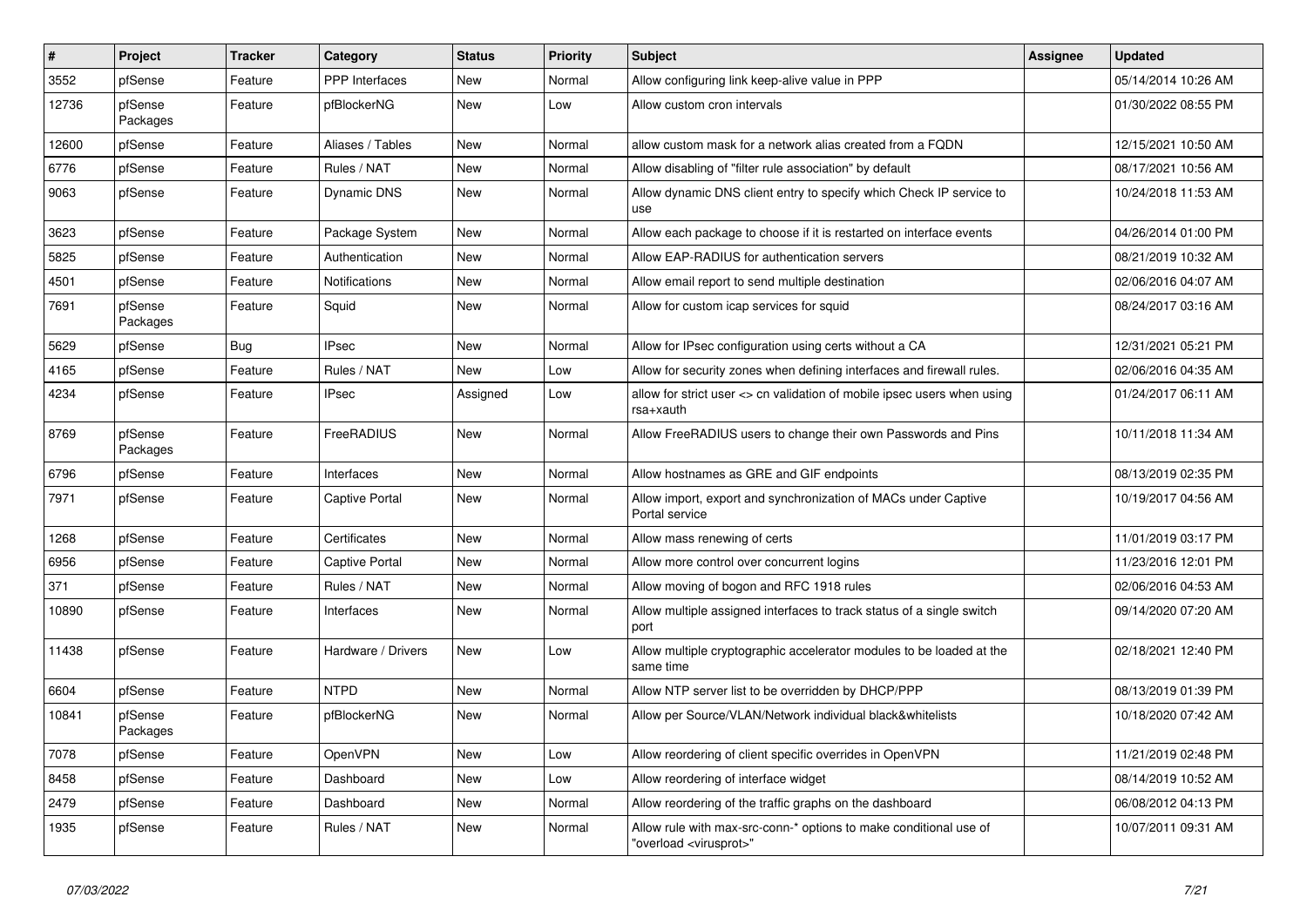| $\vert$ # | Project             | <b>Tracker</b> | Category              | <b>Status</b> | <b>Priority</b> | <b>Subject</b>                                                                                          | <b>Assignee</b> | <b>Updated</b>      |
|-----------|---------------------|----------------|-----------------------|---------------|-----------------|---------------------------------------------------------------------------------------------------------|-----------------|---------------------|
| 3552      | pfSense             | Feature        | PPP Interfaces        | <b>New</b>    | Normal          | Allow configuring link keep-alive value in PPP                                                          |                 | 05/14/2014 10:26 AM |
| 12736     | pfSense<br>Packages | Feature        | pfBlockerNG           | <b>New</b>    | Low             | Allow custom cron intervals                                                                             |                 | 01/30/2022 08:55 PM |
| 12600     | pfSense             | Feature        | Aliases / Tables      | <b>New</b>    | Normal          | allow custom mask for a network alias created from a FQDN                                               |                 | 12/15/2021 10:50 AM |
| 6776      | pfSense             | Feature        | Rules / NAT           | New           | Normal          | Allow disabling of "filter rule association" by default                                                 |                 | 08/17/2021 10:56 AM |
| 9063      | pfSense             | Feature        | Dynamic DNS           | New           | Normal          | Allow dynamic DNS client entry to specify which Check IP service to<br><b>use</b>                       |                 | 10/24/2018 11:53 AM |
| 3623      | pfSense             | Feature        | Package System        | New           | Normal          | Allow each package to choose if it is restarted on interface events                                     |                 | 04/26/2014 01:00 PM |
| 5825      | pfSense             | Feature        | Authentication        | <b>New</b>    | Normal          | Allow EAP-RADIUS for authentication servers                                                             |                 | 08/21/2019 10:32 AM |
| 4501      | pfSense             | Feature        | Notifications         | New           | Normal          | Allow email report to send multiple destination                                                         |                 | 02/06/2016 04:07 AM |
| 7691      | pfSense<br>Packages | Feature        | Squid                 | <b>New</b>    | Normal          | Allow for custom icap services for squid                                                                |                 | 08/24/2017 03:16 AM |
| 5629      | pfSense             | Bug            | <b>IPsec</b>          | <b>New</b>    | Normal          | Allow for IPsec configuration using certs without a CA                                                  |                 | 12/31/2021 05:21 PM |
| 4165      | pfSense             | Feature        | Rules / NAT           | New           | Low             | Allow for security zones when defining interfaces and firewall rules.                                   |                 | 02/06/2016 04:35 AM |
| 4234      | pfSense             | Feature        | <b>IPsec</b>          | Assigned      | Low             | allow for strict user <> cn validation of mobile ipsec users when using<br>rsa+xauth                    |                 | 01/24/2017 06:11 AM |
| 8769      | pfSense<br>Packages | Feature        | FreeRADIUS            | New           | Normal          | Allow FreeRADIUS users to change their own Passwords and Pins                                           |                 | 10/11/2018 11:34 AM |
| 6796      | pfSense             | Feature        | Interfaces            | <b>New</b>    | Normal          | Allow hostnames as GRE and GIF endpoints                                                                |                 | 08/13/2019 02:35 PM |
| 7971      | pfSense             | Feature        | Captive Portal        | <b>New</b>    | Normal          | Allow import, export and synchronization of MACs under Captive<br>Portal service                        |                 | 10/19/2017 04:56 AM |
| 1268      | pfSense             | Feature        | Certificates          | <b>New</b>    | Normal          | Allow mass renewing of certs                                                                            |                 | 11/01/2019 03:17 PM |
| 6956      | pfSense             | Feature        | <b>Captive Portal</b> | <b>New</b>    | Normal          | Allow more control over concurrent logins                                                               |                 | 11/23/2016 12:01 PM |
| 371       | pfSense             | Feature        | Rules / NAT           | New           | Normal          | Allow moving of bogon and RFC 1918 rules                                                                |                 | 02/06/2016 04:53 AM |
| 10890     | pfSense             | Feature        | Interfaces            | New           | Normal          | Allow multiple assigned interfaces to track status of a single switch<br>port                           |                 | 09/14/2020 07:20 AM |
| 11438     | pfSense             | Feature        | Hardware / Drivers    | <b>New</b>    | Low             | Allow multiple cryptographic accelerator modules to be loaded at the<br>same time                       |                 | 02/18/2021 12:40 PM |
| 6604      | pfSense             | Feature        | <b>NTPD</b>           | <b>New</b>    | Normal          | Allow NTP server list to be overridden by DHCP/PPP                                                      |                 | 08/13/2019 01:39 PM |
| 10841     | pfSense<br>Packages | Feature        | pfBlockerNG           | <b>New</b>    | Normal          | Allow per Source/VLAN/Network individual black&whitelists                                               |                 | 10/18/2020 07:42 AM |
| 7078      | pfSense             | Feature        | OpenVPN               | New           | Low             | Allow reordering of client specific overrides in OpenVPN                                                |                 | 11/21/2019 02:48 PM |
| 8458      | pfSense             | Feature        | Dashboard             | New           | Low             | Allow reordering of interface widget                                                                    |                 | 08/14/2019 10:52 AM |
| 2479      | pfSense             | Feature        | Dashboard             | New           | Normal          | Allow reordering of the traffic graphs on the dashboard                                                 |                 | 06/08/2012 04:13 PM |
| 1935      | pfSense             | Feature        | Rules / NAT           | New           | Normal          | Allow rule with max-src-conn-* options to make conditional use of<br>"overload <virusprot>"</virusprot> |                 | 10/07/2011 09:31 AM |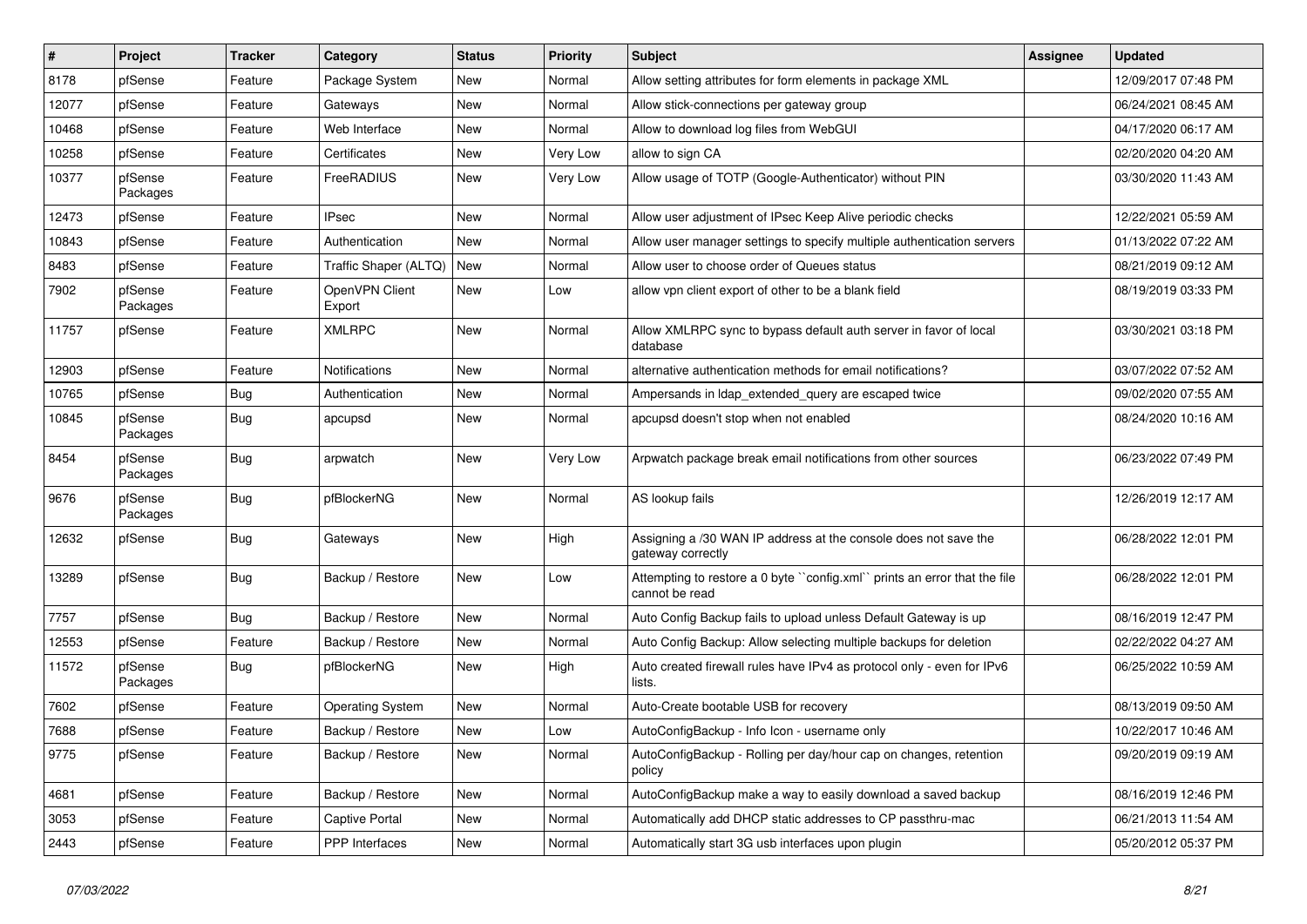| #     | Project             | <b>Tracker</b> | Category                 | <b>Status</b> | <b>Priority</b> | Subject                                                                                     | <b>Assignee</b> | <b>Updated</b>      |
|-------|---------------------|----------------|--------------------------|---------------|-----------------|---------------------------------------------------------------------------------------------|-----------------|---------------------|
| 8178  | pfSense             | Feature        | Package System           | New           | Normal          | Allow setting attributes for form elements in package XML                                   |                 | 12/09/2017 07:48 PM |
| 12077 | pfSense             | Feature        | Gateways                 | New           | Normal          | Allow stick-connections per gateway group                                                   |                 | 06/24/2021 08:45 AM |
| 10468 | pfSense             | Feature        | Web Interface            | New           | Normal          | Allow to download log files from WebGUI                                                     |                 | 04/17/2020 06:17 AM |
| 10258 | pfSense             | Feature        | Certificates             | New           | Very Low        | allow to sign CA                                                                            |                 | 02/20/2020 04:20 AM |
| 10377 | pfSense<br>Packages | Feature        | FreeRADIUS               | <b>New</b>    | Very Low        | Allow usage of TOTP (Google-Authenticator) without PIN                                      |                 | 03/30/2020 11:43 AM |
| 12473 | pfSense             | Feature        | <b>IPsec</b>             | New           | Normal          | Allow user adjustment of IPsec Keep Alive periodic checks                                   |                 | 12/22/2021 05:59 AM |
| 10843 | pfSense             | Feature        | Authentication           | <b>New</b>    | Normal          | Allow user manager settings to specify multiple authentication servers                      |                 | 01/13/2022 07:22 AM |
| 8483  | pfSense             | Feature        | Traffic Shaper (ALTQ)    | New           | Normal          | Allow user to choose order of Queues status                                                 |                 | 08/21/2019 09:12 AM |
| 7902  | pfSense<br>Packages | Feature        | OpenVPN Client<br>Export | New           | Low             | allow vpn client export of other to be a blank field                                        |                 | 08/19/2019 03:33 PM |
| 11757 | pfSense             | Feature        | <b>XMLRPC</b>            | <b>New</b>    | Normal          | Allow XMLRPC sync to bypass default auth server in favor of local<br>database               |                 | 03/30/2021 03:18 PM |
| 12903 | pfSense             | Feature        | Notifications            | New           | Normal          | alternative authentication methods for email notifications?                                 |                 | 03/07/2022 07:52 AM |
| 10765 | pfSense             | Bug            | Authentication           | New           | Normal          | Ampersands in Idap_extended_query are escaped twice                                         |                 | 09/02/2020 07:55 AM |
| 10845 | pfSense<br>Packages | Bug            | apcupsd                  | <b>New</b>    | Normal          | apcupsd doesn't stop when not enabled                                                       |                 | 08/24/2020 10:16 AM |
| 8454  | pfSense<br>Packages | <b>Bug</b>     | arpwatch                 | <b>New</b>    | Very Low        | Arpwatch package break email notifications from other sources                               |                 | 06/23/2022 07:49 PM |
| 9676  | pfSense<br>Packages | Bug            | pfBlockerNG              | <b>New</b>    | Normal          | AS lookup fails                                                                             |                 | 12/26/2019 12:17 AM |
| 12632 | pfSense             | Bug            | Gateways                 | New           | High            | Assigning a /30 WAN IP address at the console does not save the<br>gateway correctly        |                 | 06/28/2022 12:01 PM |
| 13289 | pfSense             | Bug            | Backup / Restore         | <b>New</b>    | Low             | Attempting to restore a 0 byte "config.xml" prints an error that the file<br>cannot be read |                 | 06/28/2022 12:01 PM |
| 7757  | pfSense             | Bug            | Backup / Restore         | <b>New</b>    | Normal          | Auto Config Backup fails to upload unless Default Gateway is up                             |                 | 08/16/2019 12:47 PM |
| 12553 | pfSense             | Feature        | Backup / Restore         | <b>New</b>    | Normal          | Auto Config Backup: Allow selecting multiple backups for deletion                           |                 | 02/22/2022 04:27 AM |
| 11572 | pfSense<br>Packages | <b>Bug</b>     | pfBlockerNG              | New           | High            | Auto created firewall rules have IPv4 as protocol only - even for IPv6<br>lists.            |                 | 06/25/2022 10:59 AM |
| 7602  | pfSense             | Feature        | <b>Operating System</b>  | New           | Normal          | Auto-Create bootable USB for recovery                                                       |                 | 08/13/2019 09:50 AM |
| 7688  | pfSense             | Feature        | Backup / Restore         | <b>New</b>    | Low             | AutoConfigBackup - Info Icon - username only                                                |                 | 10/22/2017 10:46 AM |
| 9775  | pfSense             | Feature        | Backup / Restore         | New           | Normal          | AutoConfigBackup - Rolling per day/hour cap on changes, retention<br>policy                 |                 | 09/20/2019 09:19 AM |
| 4681  | pfSense             | Feature        | Backup / Restore         | New           | Normal          | AutoConfigBackup make a way to easily download a saved backup                               |                 | 08/16/2019 12:46 PM |
| 3053  | pfSense             | Feature        | Captive Portal           | New           | Normal          | Automatically add DHCP static addresses to CP passthru-mac                                  |                 | 06/21/2013 11:54 AM |
| 2443  | pfSense             | Feature        | PPP Interfaces           | New           | Normal          | Automatically start 3G usb interfaces upon plugin                                           |                 | 05/20/2012 05:37 PM |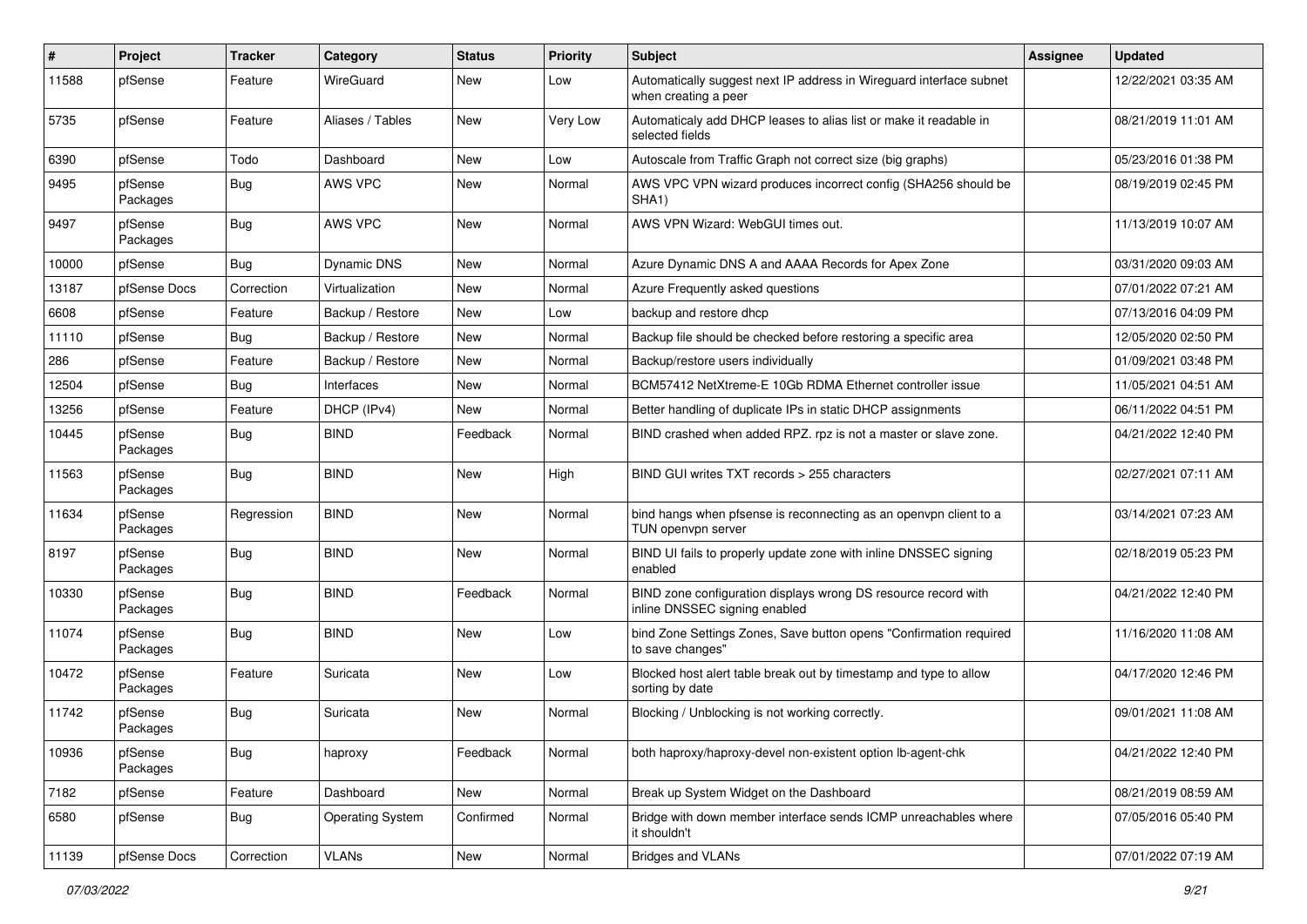| $\pmb{\#}$ | Project             | <b>Tracker</b> | Category                | <b>Status</b> | <b>Priority</b> | Subject                                                                                         | <b>Assignee</b> | <b>Updated</b>      |
|------------|---------------------|----------------|-------------------------|---------------|-----------------|-------------------------------------------------------------------------------------------------|-----------------|---------------------|
| 11588      | pfSense             | Feature        | WireGuard               | New           | Low             | Automatically suggest next IP address in Wireguard interface subnet<br>when creating a peer     |                 | 12/22/2021 03:35 AM |
| 5735       | pfSense             | Feature        | Aliases / Tables        | New           | Very Low        | Automaticaly add DHCP leases to alias list or make it readable in<br>selected fields            |                 | 08/21/2019 11:01 AM |
| 6390       | pfSense             | Todo           | Dashboard               | New           | Low             | Autoscale from Traffic Graph not correct size (big graphs)                                      |                 | 05/23/2016 01:38 PM |
| 9495       | pfSense<br>Packages | <b>Bug</b>     | <b>AWS VPC</b>          | New           | Normal          | AWS VPC VPN wizard produces incorrect config (SHA256 should be<br>SHA1)                         |                 | 08/19/2019 02:45 PM |
| 9497       | pfSense<br>Packages | <b>Bug</b>     | <b>AWS VPC</b>          | New           | Normal          | AWS VPN Wizard: WebGUI times out.                                                               |                 | 11/13/2019 10:07 AM |
| 10000      | pfSense             | Bug            | Dynamic DNS             | New           | Normal          | Azure Dynamic DNS A and AAAA Records for Apex Zone                                              |                 | 03/31/2020 09:03 AM |
| 13187      | pfSense Docs        | Correction     | Virtualization          | New           | Normal          | Azure Frequently asked questions                                                                |                 | 07/01/2022 07:21 AM |
| 6608       | pfSense             | Feature        | Backup / Restore        | New           | Low             | backup and restore dhcp                                                                         |                 | 07/13/2016 04:09 PM |
| 11110      | pfSense             | Bug            | Backup / Restore        | New           | Normal          | Backup file should be checked before restoring a specific area                                  |                 | 12/05/2020 02:50 PM |
| 286        | pfSense             | Feature        | Backup / Restore        | New           | Normal          | Backup/restore users individually                                                               |                 | 01/09/2021 03:48 PM |
| 12504      | pfSense             | Bug            | Interfaces              | New           | Normal          | BCM57412 NetXtreme-E 10Gb RDMA Ethernet controller issue                                        |                 | 11/05/2021 04:51 AM |
| 13256      | pfSense             | Feature        | DHCP (IPv4)             | New           | Normal          | Better handling of duplicate IPs in static DHCP assignments                                     |                 | 06/11/2022 04:51 PM |
| 10445      | pfSense<br>Packages | Bug            | <b>BIND</b>             | Feedback      | Normal          | BIND crashed when added RPZ. rpz is not a master or slave zone.                                 |                 | 04/21/2022 12:40 PM |
| 11563      | pfSense<br>Packages | Bug            | <b>BIND</b>             | New           | High            | BIND GUI writes TXT records > 255 characters                                                    |                 | 02/27/2021 07:11 AM |
| 11634      | pfSense<br>Packages | Regression     | <b>BIND</b>             | New           | Normal          | bind hangs when pfsense is reconnecting as an openvpn client to a<br>TUN openvpn server         |                 | 03/14/2021 07:23 AM |
| 8197       | pfSense<br>Packages | <b>Bug</b>     | <b>BIND</b>             | New           | Normal          | BIND UI fails to properly update zone with inline DNSSEC signing<br>enabled                     |                 | 02/18/2019 05:23 PM |
| 10330      | pfSense<br>Packages | Bug            | <b>BIND</b>             | Feedback      | Normal          | BIND zone configuration displays wrong DS resource record with<br>inline DNSSEC signing enabled |                 | 04/21/2022 12:40 PM |
| 11074      | pfSense<br>Packages | <b>Bug</b>     | <b>BIND</b>             | New           | Low             | bind Zone Settings Zones, Save button opens "Confirmation required<br>to save changes"          |                 | 11/16/2020 11:08 AM |
| 10472      | pfSense<br>Packages | Feature        | Suricata                | New           | Low             | Blocked host alert table break out by timestamp and type to allow<br>sorting by date            |                 | 04/17/2020 12:46 PM |
| 11742      | pfSense<br>Packages | Bug            | Suricata                | New           | Normal          | Blocking / Unblocking is not working correctly.                                                 |                 | 09/01/2021 11:08 AM |
| 10936      | pfSense<br>Packages | <b>Bug</b>     | haproxy                 | Feedback      | Normal          | both haproxy/haproxy-devel non-existent option lb-agent-chk                                     |                 | 04/21/2022 12:40 PM |
| 7182       | pfSense             | Feature        | Dashboard               | New           | Normal          | Break up System Widget on the Dashboard                                                         |                 | 08/21/2019 08:59 AM |
| 6580       | pfSense             | <b>Bug</b>     | <b>Operating System</b> | Confirmed     | Normal          | Bridge with down member interface sends ICMP unreachables where<br>it shouldn't                 |                 | 07/05/2016 05:40 PM |
| 11139      | pfSense Docs        | Correction     | <b>VLANs</b>            | New           | Normal          | <b>Bridges and VLANs</b>                                                                        |                 | 07/01/2022 07:19 AM |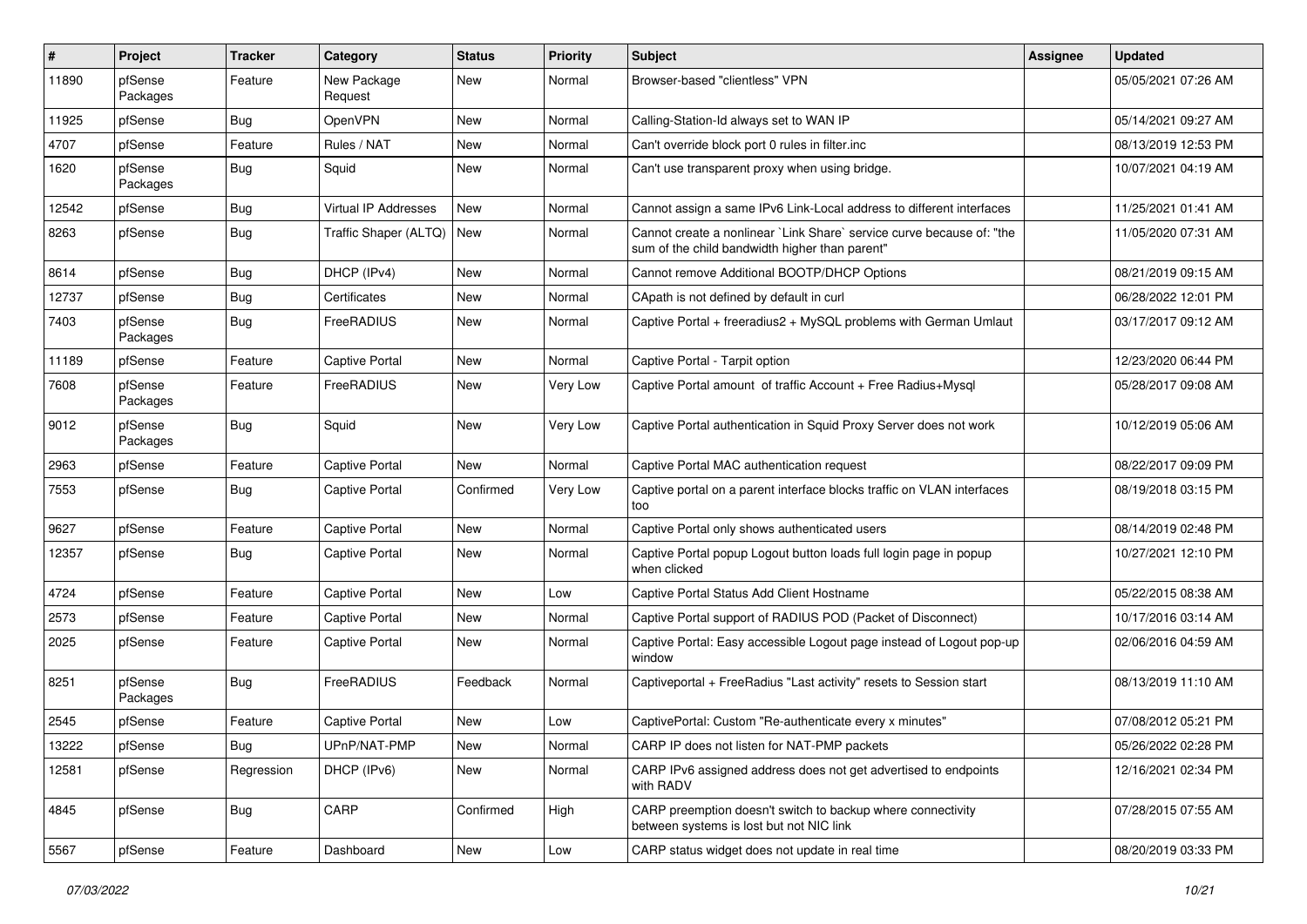| #     | Project             | <b>Tracker</b> | Category               | <b>Status</b> | <b>Priority</b> | Subject                                                                                                                 | Assignee | <b>Updated</b>      |
|-------|---------------------|----------------|------------------------|---------------|-----------------|-------------------------------------------------------------------------------------------------------------------------|----------|---------------------|
| 11890 | pfSense<br>Packages | Feature        | New Package<br>Request | <b>New</b>    | Normal          | Browser-based "clientless" VPN                                                                                          |          | 05/05/2021 07:26 AM |
| 11925 | pfSense             | Bug            | <b>OpenVPN</b>         | New           | Normal          | Calling-Station-Id always set to WAN IP                                                                                 |          | 05/14/2021 09:27 AM |
| 4707  | pfSense             | Feature        | Rules / NAT            | New           | Normal          | Can't override block port 0 rules in filter.inc                                                                         |          | 08/13/2019 12:53 PM |
| 1620  | pfSense<br>Packages | <b>Bug</b>     | Squid                  | New           | Normal          | Can't use transparent proxy when using bridge.                                                                          |          | 10/07/2021 04:19 AM |
| 12542 | pfSense             | Bug            | Virtual IP Addresses   | <b>New</b>    | Normal          | Cannot assign a same IPv6 Link-Local address to different interfaces                                                    |          | 11/25/2021 01:41 AM |
| 8263  | pfSense             | <b>Bug</b>     | Traffic Shaper (ALTQ)  | New           | Normal          | Cannot create a nonlinear `Link Share` service curve because of: "the<br>sum of the child bandwidth higher than parent" |          | 11/05/2020 07:31 AM |
| 8614  | pfSense             | <b>Bug</b>     | DHCP (IPv4)            | <b>New</b>    | Normal          | Cannot remove Additional BOOTP/DHCP Options                                                                             |          | 08/21/2019 09:15 AM |
| 12737 | pfSense             | Bug            | Certificates           | New           | Normal          | CApath is not defined by default in curl                                                                                |          | 06/28/2022 12:01 PM |
| 7403  | pfSense<br>Packages | <b>Bug</b>     | FreeRADIUS             | New           | Normal          | Captive Portal + freeradius2 + MySQL problems with German Umlaut                                                        |          | 03/17/2017 09:12 AM |
| 11189 | pfSense             | Feature        | <b>Captive Portal</b>  | <b>New</b>    | Normal          | Captive Portal - Tarpit option                                                                                          |          | 12/23/2020 06:44 PM |
| 7608  | pfSense<br>Packages | Feature        | FreeRADIUS             | New           | Very Low        | Captive Portal amount of traffic Account + Free Radius+Mysql                                                            |          | 05/28/2017 09:08 AM |
| 9012  | pfSense<br>Packages | <b>Bug</b>     | Squid                  | <b>New</b>    | Very Low        | Captive Portal authentication in Squid Proxy Server does not work                                                       |          | 10/12/2019 05:06 AM |
| 2963  | pfSense             | Feature        | <b>Captive Portal</b>  | <b>New</b>    | Normal          | Captive Portal MAC authentication request                                                                               |          | 08/22/2017 09:09 PM |
| 7553  | pfSense             | Bug            | <b>Captive Portal</b>  | Confirmed     | Very Low        | Captive portal on a parent interface blocks traffic on VLAN interfaces<br>too                                           |          | 08/19/2018 03:15 PM |
| 9627  | pfSense             | Feature        | <b>Captive Portal</b>  | <b>New</b>    | Normal          | Captive Portal only shows authenticated users                                                                           |          | 08/14/2019 02:48 PM |
| 12357 | pfSense             | Bug            | <b>Captive Portal</b>  | New           | Normal          | Captive Portal popup Logout button loads full login page in popup<br>when clicked                                       |          | 10/27/2021 12:10 PM |
| 4724  | pfSense             | Feature        | <b>Captive Portal</b>  | <b>New</b>    | Low             | Captive Portal Status Add Client Hostname                                                                               |          | 05/22/2015 08:38 AM |
| 2573  | pfSense             | Feature        | <b>Captive Portal</b>  | <b>New</b>    | Normal          | Captive Portal support of RADIUS POD (Packet of Disconnect)                                                             |          | 10/17/2016 03:14 AM |
| 2025  | pfSense             | Feature        | <b>Captive Portal</b>  | New           | Normal          | Captive Portal: Easy accessible Logout page instead of Logout pop-up<br>window                                          |          | 02/06/2016 04:59 AM |
| 8251  | pfSense<br>Packages | <b>Bug</b>     | FreeRADIUS             | Feedback      | Normal          | Captiveportal + FreeRadius "Last activity" resets to Session start                                                      |          | 08/13/2019 11:10 AM |
| 2545  | pfSense             | Feature        | <b>Captive Portal</b>  | <b>New</b>    | Low             | CaptivePortal: Custom "Re-authenticate every x minutes"                                                                 |          | 07/08/2012 05:21 PM |
| 13222 | pfSense             | Bug            | UPnP/NAT-PMP           | New           | Normal          | CARP IP does not listen for NAT-PMP packets                                                                             |          | 05/26/2022 02:28 PM |
| 12581 | pfSense             | Regression     | DHCP (IPv6)            | New           | Normal          | CARP IPv6 assigned address does not get advertised to endpoints<br>with RADV                                            |          | 12/16/2021 02:34 PM |
| 4845  | pfSense             | <b>Bug</b>     | CARP                   | Confirmed     | High            | CARP preemption doesn't switch to backup where connectivity<br>between systems is lost but not NIC link                 |          | 07/28/2015 07:55 AM |
| 5567  | pfSense             | Feature        | Dashboard              | New           | Low             | CARP status widget does not update in real time                                                                         |          | 08/20/2019 03:33 PM |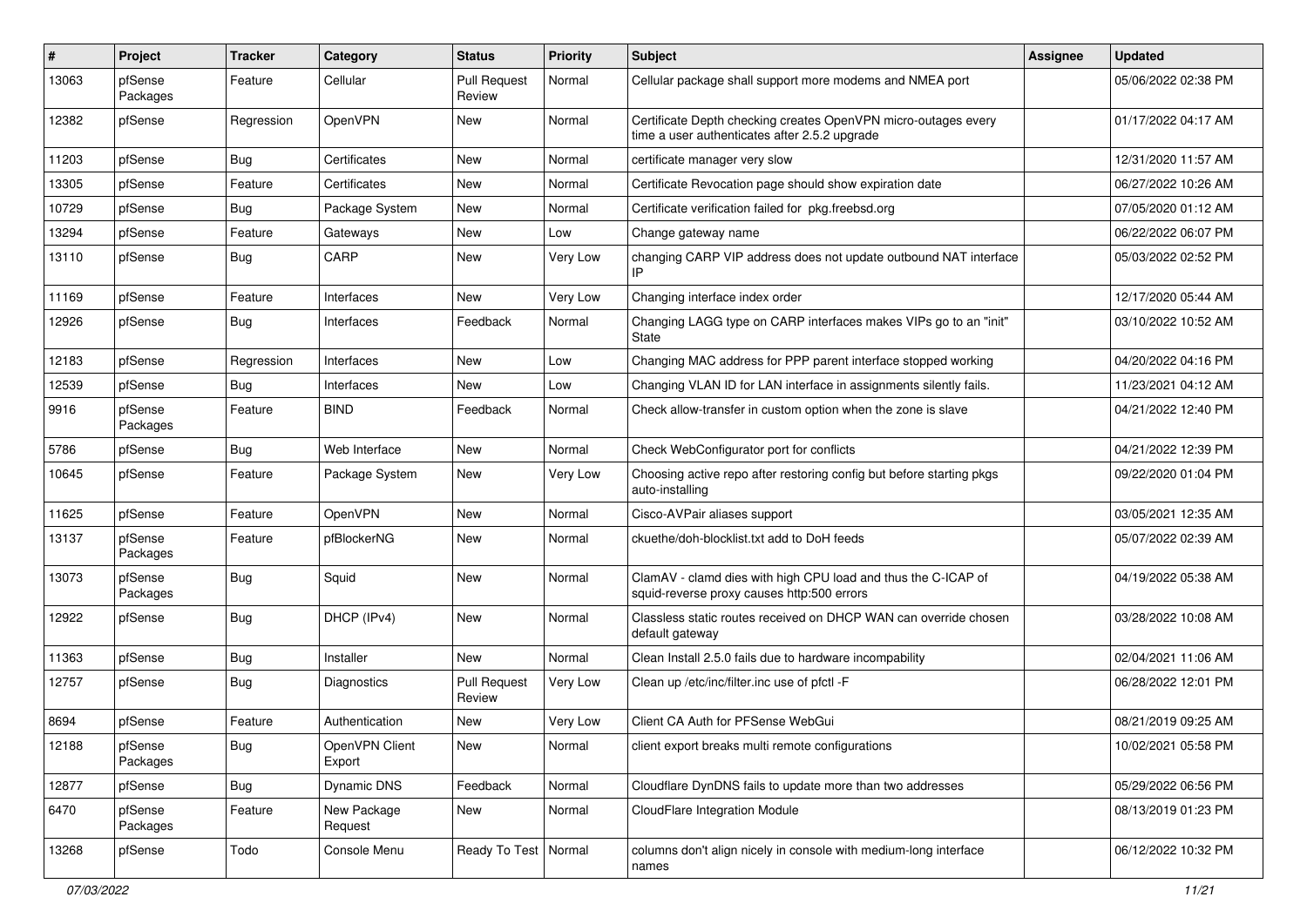| #     | Project             | <b>Tracker</b> | Category                 | <b>Status</b>                 | <b>Priority</b> | <b>Subject</b>                                                                                                  | <b>Assignee</b> | <b>Updated</b>      |
|-------|---------------------|----------------|--------------------------|-------------------------------|-----------------|-----------------------------------------------------------------------------------------------------------------|-----------------|---------------------|
| 13063 | pfSense<br>Packages | Feature        | Cellular                 | <b>Pull Request</b><br>Review | Normal          | Cellular package shall support more modems and NMEA port                                                        |                 | 05/06/2022 02:38 PM |
| 12382 | pfSense             | Regression     | OpenVPN                  | New                           | Normal          | Certificate Depth checking creates OpenVPN micro-outages every<br>time a user authenticates after 2.5.2 upgrade |                 | 01/17/2022 04:17 AM |
| 11203 | pfSense             | Bug            | Certificates             | <b>New</b>                    | Normal          | certificate manager very slow                                                                                   |                 | 12/31/2020 11:57 AM |
| 13305 | pfSense             | Feature        | Certificates             | New                           | Normal          | Certificate Revocation page should show expiration date                                                         |                 | 06/27/2022 10:26 AM |
| 10729 | pfSense             | Bug            | Package System           | New                           | Normal          | Certificate verification failed for pkg.freebsd.org                                                             |                 | 07/05/2020 01:12 AM |
| 13294 | pfSense             | Feature        | Gateways                 | New                           | Low             | Change gateway name                                                                                             |                 | 06/22/2022 06:07 PM |
| 13110 | pfSense             | Bug            | CARP                     | New                           | Very Low        | changing CARP VIP address does not update outbound NAT interface                                                |                 | 05/03/2022 02:52 PM |
| 11169 | pfSense             | Feature        | Interfaces               | New                           | Very Low        | Changing interface index order                                                                                  |                 | 12/17/2020 05:44 AM |
| 12926 | pfSense             | <b>Bug</b>     | Interfaces               | Feedback                      | Normal          | Changing LAGG type on CARP interfaces makes VIPs go to an "init"<br>State                                       |                 | 03/10/2022 10:52 AM |
| 12183 | pfSense             | Regression     | Interfaces               | New                           | Low             | Changing MAC address for PPP parent interface stopped working                                                   |                 | 04/20/2022 04:16 PM |
| 12539 | pfSense             | Bug            | Interfaces               | New                           | Low             | Changing VLAN ID for LAN interface in assignments silently fails.                                               |                 | 11/23/2021 04:12 AM |
| 9916  | pfSense<br>Packages | Feature        | <b>BIND</b>              | Feedback                      | Normal          | Check allow-transfer in custom option when the zone is slave                                                    |                 | 04/21/2022 12:40 PM |
| 5786  | pfSense             | Bug            | Web Interface            | <b>New</b>                    | Normal          | Check WebConfigurator port for conflicts                                                                        |                 | 04/21/2022 12:39 PM |
| 10645 | pfSense             | Feature        | Package System           | New                           | Very Low        | Choosing active repo after restoring config but before starting pkgs<br>auto-installing                         |                 | 09/22/2020 01:04 PM |
| 11625 | pfSense             | Feature        | <b>OpenVPN</b>           | <b>New</b>                    | Normal          | Cisco-AVPair aliases support                                                                                    |                 | 03/05/2021 12:35 AM |
| 13137 | pfSense<br>Packages | Feature        | pfBlockerNG              | New                           | Normal          | ckuethe/doh-blocklist.txt add to DoH feeds                                                                      |                 | 05/07/2022 02:39 AM |
| 13073 | pfSense<br>Packages | Bug            | Squid                    | <b>New</b>                    | Normal          | ClamAV - clamd dies with high CPU load and thus the C-ICAP of<br>squid-reverse proxy causes http:500 errors     |                 | 04/19/2022 05:38 AM |
| 12922 | pfSense             | Bug            | DHCP (IPv4)              | New                           | Normal          | Classless static routes received on DHCP WAN can override chosen<br>default gateway                             |                 | 03/28/2022 10:08 AM |
| 11363 | pfSense             | Bug            | Installer                | <b>New</b>                    | Normal          | Clean Install 2.5.0 fails due to hardware incompability                                                         |                 | 02/04/2021 11:06 AM |
| 12757 | pfSense             | <b>Bug</b>     | Diagnostics              | <b>Pull Request</b><br>Review | Very Low        | Clean up /etc/inc/filter.inc use of pfctl -F                                                                    |                 | 06/28/2022 12:01 PM |
| 8694  | pfSense             | Feature        | Authentication           | New                           | Very Low        | Client CA Auth for PFSense WebGui                                                                               |                 | 08/21/2019 09:25 AM |
| 12188 | pfSense<br>Packages | <b>Bug</b>     | OpenVPN Client<br>Export | New                           | Normal          | client export breaks multi remote configurations                                                                |                 | 10/02/2021 05:58 PM |
| 12877 | pfSense             | Bug            | Dynamic DNS              | Feedback                      | Normal          | Cloudflare DynDNS fails to update more than two addresses                                                       |                 | 05/29/2022 06:56 PM |
| 6470  | pfSense<br>Packages | Feature        | New Package<br>Request   | New                           | Normal          | CloudFlare Integration Module                                                                                   |                 | 08/13/2019 01:23 PM |
| 13268 | pfSense             | Todo           | Console Menu             | Ready To Test   Normal        |                 | columns don't align nicely in console with medium-long interface<br>names                                       |                 | 06/12/2022 10:32 PM |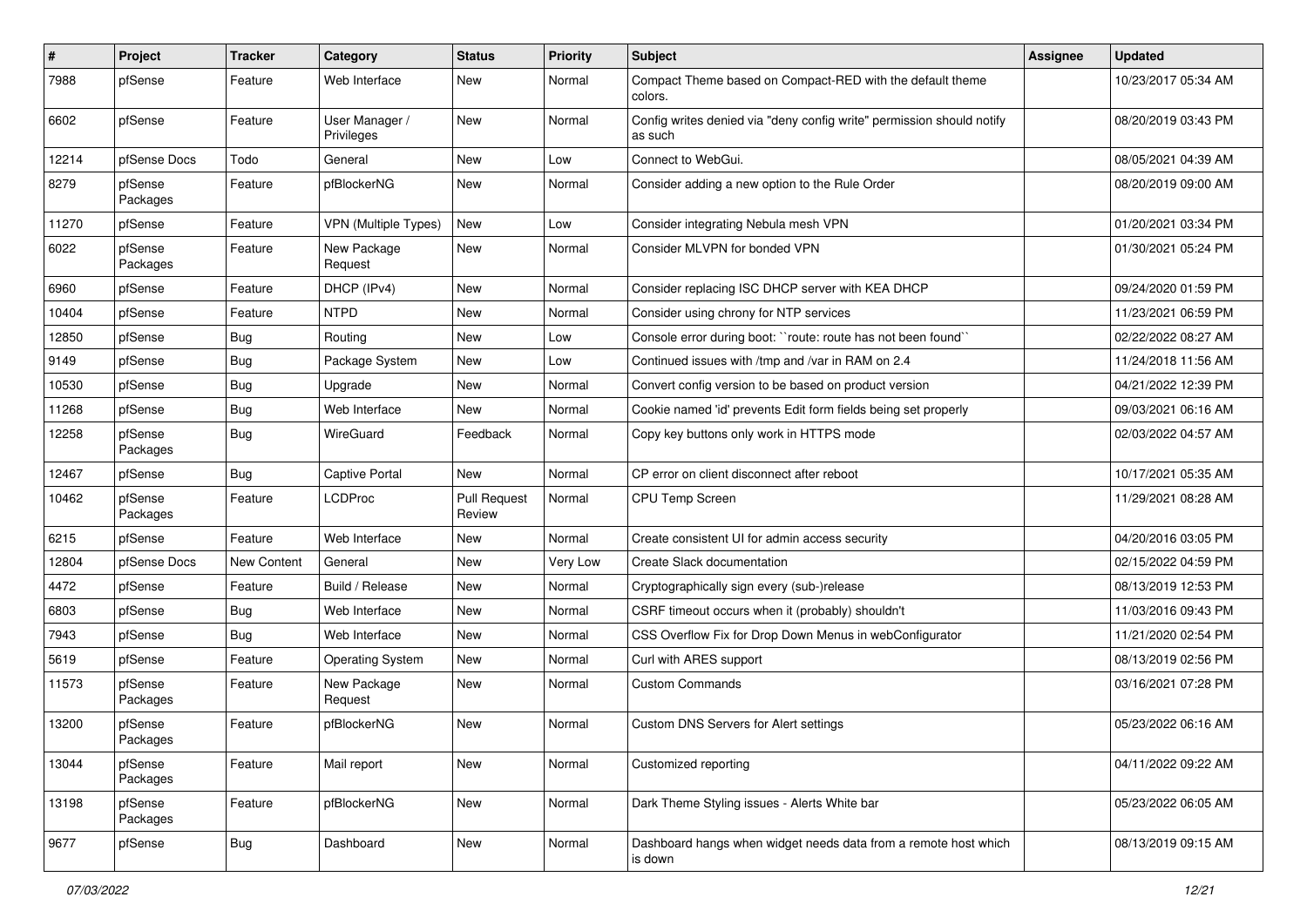| $\pmb{\#}$ | Project             | <b>Tracker</b> | Category                     | <b>Status</b>                 | <b>Priority</b> | Subject                                                                          | <b>Assignee</b> | <b>Updated</b>      |
|------------|---------------------|----------------|------------------------------|-------------------------------|-----------------|----------------------------------------------------------------------------------|-----------------|---------------------|
| 7988       | pfSense             | Feature        | Web Interface                | New                           | Normal          | Compact Theme based on Compact-RED with the default theme<br>colors.             |                 | 10/23/2017 05:34 AM |
| 6602       | pfSense             | Feature        | User Manager /<br>Privileges | New                           | Normal          | Config writes denied via "deny config write" permission should notify<br>as such |                 | 08/20/2019 03:43 PM |
| 12214      | pfSense Docs        | Todo           | General                      | New                           | Low             | Connect to WebGui.                                                               |                 | 08/05/2021 04:39 AM |
| 8279       | pfSense<br>Packages | Feature        | pfBlockerNG                  | New                           | Normal          | Consider adding a new option to the Rule Order                                   |                 | 08/20/2019 09:00 AM |
| 11270      | pfSense             | Feature        | VPN (Multiple Types)         | New                           | Low             | Consider integrating Nebula mesh VPN                                             |                 | 01/20/2021 03:34 PM |
| 6022       | pfSense<br>Packages | Feature        | New Package<br>Request       | New                           | Normal          | Consider MLVPN for bonded VPN                                                    |                 | 01/30/2021 05:24 PM |
| 6960       | pfSense             | Feature        | DHCP (IPv4)                  | New                           | Normal          | Consider replacing ISC DHCP server with KEA DHCP                                 |                 | 09/24/2020 01:59 PM |
| 10404      | pfSense             | Feature        | <b>NTPD</b>                  | New                           | Normal          | Consider using chrony for NTP services                                           |                 | 11/23/2021 06:59 PM |
| 12850      | pfSense             | Bug            | Routing                      | New                           | Low             | Console error during boot: "route: route has not been found"                     |                 | 02/22/2022 08:27 AM |
| 9149       | pfSense             | Bug            | Package System               | New                           | Low             | Continued issues with /tmp and /var in RAM on 2.4                                |                 | 11/24/2018 11:56 AM |
| 10530      | pfSense             | Bug            | Upgrade                      | New                           | Normal          | Convert config version to be based on product version                            |                 | 04/21/2022 12:39 PM |
| 11268      | pfSense             | Bug            | Web Interface                | New                           | Normal          | Cookie named 'id' prevents Edit form fields being set properly                   |                 | 09/03/2021 06:16 AM |
| 12258      | pfSense<br>Packages | Bug            | WireGuard                    | Feedback                      | Normal          | Copy key buttons only work in HTTPS mode                                         |                 | 02/03/2022 04:57 AM |
| 12467      | pfSense             | Bug            | <b>Captive Portal</b>        | New                           | Normal          | CP error on client disconnect after reboot                                       |                 | 10/17/2021 05:35 AM |
| 10462      | pfSense<br>Packages | Feature        | <b>LCDProc</b>               | <b>Pull Request</b><br>Review | Normal          | CPU Temp Screen                                                                  |                 | 11/29/2021 08:28 AM |
| 6215       | pfSense             | Feature        | Web Interface                | New                           | Normal          | Create consistent UI for admin access security                                   |                 | 04/20/2016 03:05 PM |
| 12804      | pfSense Docs        | New Content    | General                      | New                           | Very Low        | Create Slack documentation                                                       |                 | 02/15/2022 04:59 PM |
| 4472       | pfSense             | Feature        | Build / Release              | New                           | Normal          | Cryptographically sign every (sub-)release                                       |                 | 08/13/2019 12:53 PM |
| 6803       | pfSense             | Bug            | Web Interface                | New                           | Normal          | CSRF timeout occurs when it (probably) shouldn't                                 |                 | 11/03/2016 09:43 PM |
| 7943       | pfSense             | Bug            | Web Interface                | New                           | Normal          | CSS Overflow Fix for Drop Down Menus in webConfigurator                          |                 | 11/21/2020 02:54 PM |
| 5619       | pfSense             | Feature        | <b>Operating System</b>      | New                           | Normal          | Curl with ARES support                                                           |                 | 08/13/2019 02:56 PM |
| 11573      | pfSense<br>Packages | Feature        | New Package<br>Request       | New                           | Normal          | <b>Custom Commands</b>                                                           |                 | 03/16/2021 07:28 PM |
| 13200      | pfSense<br>Packages | Feature        | pfBlockerNG                  | New                           | Normal          | Custom DNS Servers for Alert settings                                            |                 | 05/23/2022 06:16 AM |
| 13044      | pfSense<br>Packages | Feature        | Mail report                  | New                           | Normal          | Customized reporting                                                             |                 | 04/11/2022 09:22 AM |
| 13198      | pfSense<br>Packages | Feature        | pfBlockerNG                  | New                           | Normal          | Dark Theme Styling issues - Alerts White bar                                     |                 | 05/23/2022 06:05 AM |
| 9677       | pfSense             | <b>Bug</b>     | Dashboard                    | New                           | Normal          | Dashboard hangs when widget needs data from a remote host which<br>is down       |                 | 08/13/2019 09:15 AM |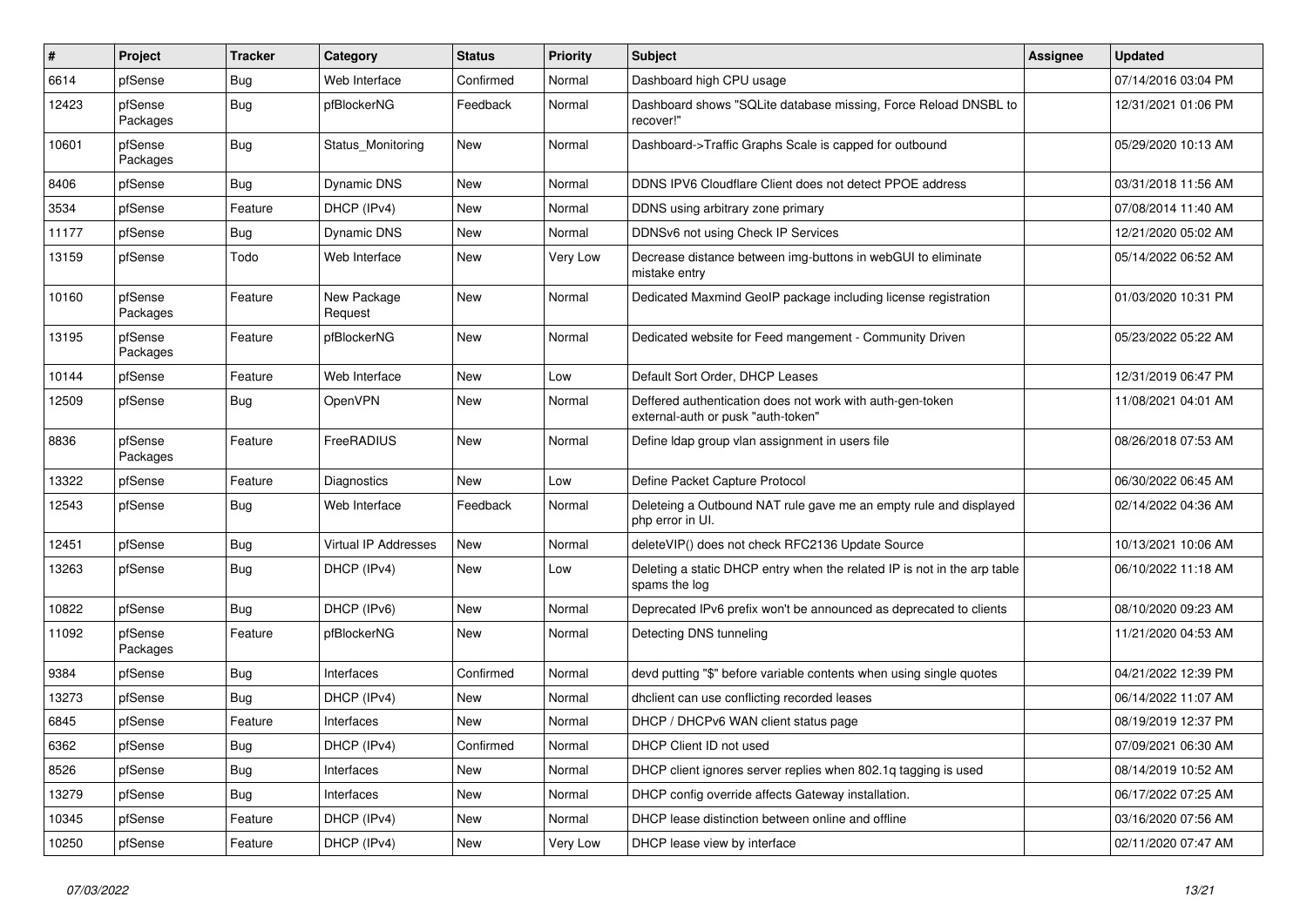| #     | Project             | <b>Tracker</b> | Category                    | <b>Status</b> | <b>Priority</b> | Subject                                                                                         | <b>Assignee</b> | <b>Updated</b>      |
|-------|---------------------|----------------|-----------------------------|---------------|-----------------|-------------------------------------------------------------------------------------------------|-----------------|---------------------|
| 6614  | pfSense             | <b>Bug</b>     | Web Interface               | Confirmed     | Normal          | Dashboard high CPU usage                                                                        |                 | 07/14/2016 03:04 PM |
| 12423 | pfSense<br>Packages | Bug            | pfBlockerNG                 | Feedback      | Normal          | Dashboard shows "SQLite database missing, Force Reload DNSBL to<br>recover!"                    |                 | 12/31/2021 01:06 PM |
| 10601 | pfSense<br>Packages | Bug            | Status_Monitoring           | <b>New</b>    | Normal          | Dashboard->Traffic Graphs Scale is capped for outbound                                          |                 | 05/29/2020 10:13 AM |
| 8406  | pfSense             | <b>Bug</b>     | Dynamic DNS                 | New           | Normal          | DDNS IPV6 Cloudflare Client does not detect PPOE address                                        |                 | 03/31/2018 11:56 AM |
| 3534  | pfSense             | Feature        | DHCP (IPv4)                 | New           | Normal          | DDNS using arbitrary zone primary                                                               |                 | 07/08/2014 11:40 AM |
| 11177 | pfSense             | Bug            | Dynamic DNS                 | <b>New</b>    | Normal          | DDNSv6 not using Check IP Services                                                              |                 | 12/21/2020 05:02 AM |
| 13159 | pfSense             | Todo           | Web Interface               | New           | Very Low        | Decrease distance between img-buttons in webGUI to eliminate<br>mistake entry                   |                 | 05/14/2022 06:52 AM |
| 10160 | pfSense<br>Packages | Feature        | New Package<br>Request      | New           | Normal          | Dedicated Maxmind GeoIP package including license registration                                  |                 | 01/03/2020 10:31 PM |
| 13195 | pfSense<br>Packages | Feature        | pfBlockerNG                 | New           | Normal          | Dedicated website for Feed mangement - Community Driven                                         |                 | 05/23/2022 05:22 AM |
| 10144 | pfSense             | Feature        | Web Interface               | <b>New</b>    | Low             | Default Sort Order, DHCP Leases                                                                 |                 | 12/31/2019 06:47 PM |
| 12509 | pfSense             | Bug            | OpenVPN                     | <b>New</b>    | Normal          | Deffered authentication does not work with auth-gen-token<br>external-auth or pusk "auth-token" |                 | 11/08/2021 04:01 AM |
| 8836  | pfSense<br>Packages | Feature        | FreeRADIUS                  | <b>New</b>    | Normal          | Define Idap group vlan assignment in users file                                                 |                 | 08/26/2018 07:53 AM |
| 13322 | pfSense             | Feature        | <b>Diagnostics</b>          | New           | Low             | Define Packet Capture Protocol                                                                  |                 | 06/30/2022 06:45 AM |
| 12543 | pfSense             | Bug            | Web Interface               | Feedback      | Normal          | Deleteing a Outbound NAT rule gave me an empty rule and displayed<br>php error in UI.           |                 | 02/14/2022 04:36 AM |
| 12451 | pfSense             | Bug            | <b>Virtual IP Addresses</b> | <b>New</b>    | Normal          | deleteVIP() does not check RFC2136 Update Source                                                |                 | 10/13/2021 10:06 AM |
| 13263 | pfSense             | Bug            | DHCP (IPv4)                 | New           | Low             | Deleting a static DHCP entry when the related IP is not in the arp table<br>spams the log       |                 | 06/10/2022 11:18 AM |
| 10822 | pfSense             | Bug            | DHCP (IPv6)                 | <b>New</b>    | Normal          | Deprecated IPv6 prefix won't be announced as deprecated to clients                              |                 | 08/10/2020 09:23 AM |
| 11092 | pfSense<br>Packages | Feature        | pfBlockerNG                 | New           | Normal          | Detecting DNS tunneling                                                                         |                 | 11/21/2020 04:53 AM |
| 9384  | pfSense             | Bug            | Interfaces                  | Confirmed     | Normal          | devd putting "\$" before variable contents when using single quotes                             |                 | 04/21/2022 12:39 PM |
| 13273 | pfSense             | Bug            | DHCP (IPv4)                 | New           | Normal          | dhclient can use conflicting recorded leases                                                    |                 | 06/14/2022 11:07 AM |
| 6845  | pfSense             | Feature        | Interfaces                  | New           | Normal          | DHCP / DHCPv6 WAN client status page                                                            |                 | 08/19/2019 12:37 PM |
| 6362  | pfSense             | <b>Bug</b>     | DHCP (IPv4)                 | Confirmed     | Normal          | DHCP Client ID not used                                                                         |                 | 07/09/2021 06:30 AM |
| 8526  | pfSense             | <b>Bug</b>     | Interfaces                  | New           | Normal          | DHCP client ignores server replies when 802.1q tagging is used                                  |                 | 08/14/2019 10:52 AM |
| 13279 | pfSense             | <b>Bug</b>     | Interfaces                  | New           | Normal          | DHCP config override affects Gateway installation.                                              |                 | 06/17/2022 07:25 AM |
| 10345 | pfSense             | Feature        | DHCP (IPv4)                 | New           | Normal          | DHCP lease distinction between online and offline                                               |                 | 03/16/2020 07:56 AM |
| 10250 | pfSense             | Feature        | DHCP (IPv4)                 | New           | Very Low        | DHCP lease view by interface                                                                    |                 | 02/11/2020 07:47 AM |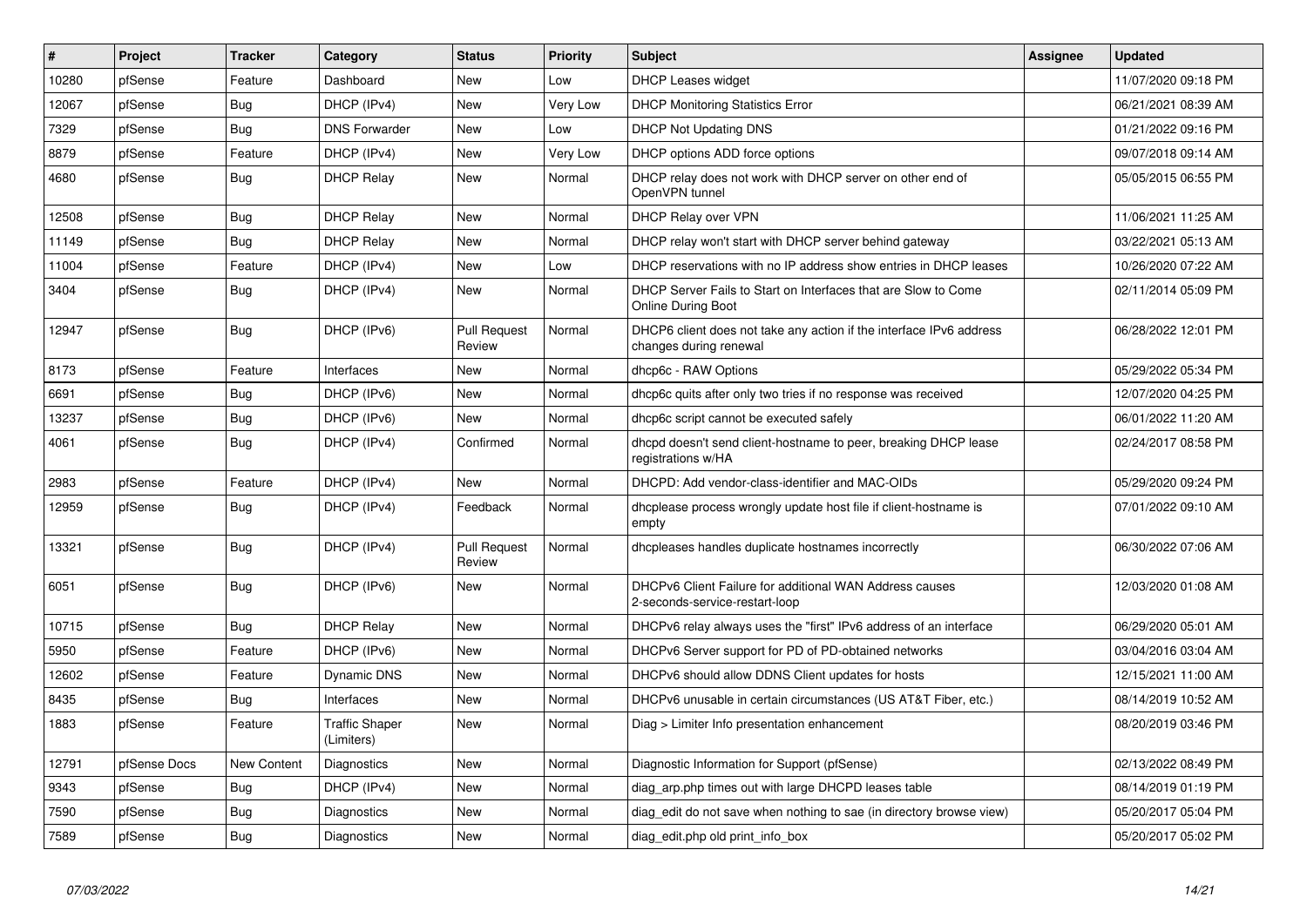| $\vert$ # | Project      | <b>Tracker</b> | Category                            | <b>Status</b>                 | <b>Priority</b> | <b>Subject</b>                                                                                | Assignee | <b>Updated</b>      |
|-----------|--------------|----------------|-------------------------------------|-------------------------------|-----------------|-----------------------------------------------------------------------------------------------|----------|---------------------|
| 10280     | pfSense      | Feature        | Dashboard                           | New                           | Low             | <b>DHCP Leases widget</b>                                                                     |          | 11/07/2020 09:18 PM |
| 12067     | pfSense      | <b>Bug</b>     | DHCP (IPv4)                         | <b>New</b>                    | Very Low        | <b>DHCP Monitoring Statistics Error</b>                                                       |          | 06/21/2021 08:39 AM |
| 7329      | pfSense      | <b>Bug</b>     | <b>DNS Forwarder</b>                | New                           | Low             | <b>DHCP Not Updating DNS</b>                                                                  |          | 01/21/2022 09:16 PM |
| 8879      | pfSense      | Feature        | DHCP (IPv4)                         | <b>New</b>                    | Very Low        | DHCP options ADD force options                                                                |          | 09/07/2018 09:14 AM |
| 4680      | pfSense      | <b>Bug</b>     | <b>DHCP Relay</b>                   | New                           | Normal          | DHCP relay does not work with DHCP server on other end of<br>OpenVPN tunnel                   |          | 05/05/2015 06:55 PM |
| 12508     | pfSense      | <b>Bug</b>     | <b>DHCP Relay</b>                   | <b>New</b>                    | Normal          | DHCP Relay over VPN                                                                           |          | 11/06/2021 11:25 AM |
| 11149     | pfSense      | <b>Bug</b>     | <b>DHCP Relay</b>                   | New                           | Normal          | DHCP relay won't start with DHCP server behind gateway                                        |          | 03/22/2021 05:13 AM |
| 11004     | pfSense      | Feature        | DHCP (IPv4)                         | <b>New</b>                    | Low             | DHCP reservations with no IP address show entries in DHCP leases                              |          | 10/26/2020 07:22 AM |
| 3404      | pfSense      | <b>Bug</b>     | DHCP (IPv4)                         | <b>New</b>                    | Normal          | DHCP Server Fails to Start on Interfaces that are Slow to Come<br><b>Online During Boot</b>   |          | 02/11/2014 05:09 PM |
| 12947     | pfSense      | <b>Bug</b>     | DHCP (IPv6)                         | <b>Pull Request</b><br>Review | Normal          | DHCP6 client does not take any action if the interface IPv6 address<br>changes during renewal |          | 06/28/2022 12:01 PM |
| 8173      | pfSense      | Feature        | Interfaces                          | New                           | Normal          | dhcp6c - RAW Options                                                                          |          | 05/29/2022 05:34 PM |
| 6691      | pfSense      | <b>Bug</b>     | DHCP (IPv6)                         | <b>New</b>                    | Normal          | dhcp6c quits after only two tries if no response was received                                 |          | 12/07/2020 04:25 PM |
| 13237     | pfSense      | <b>Bug</b>     | DHCP (IPv6)                         | New                           | Normal          | dhcp6c script cannot be executed safely                                                       |          | 06/01/2022 11:20 AM |
| 4061      | pfSense      | Bug            | DHCP (IPv4)                         | Confirmed                     | Normal          | dhcpd doesn't send client-hostname to peer, breaking DHCP lease<br>registrations w/HA         |          | 02/24/2017 08:58 PM |
| 2983      | pfSense      | Feature        | DHCP (IPv4)                         | <b>New</b>                    | Normal          | DHCPD: Add vendor-class-identifier and MAC-OIDs                                               |          | 05/29/2020 09:24 PM |
| 12959     | pfSense      | Bug            | DHCP (IPv4)                         | Feedback                      | Normal          | dhoplease process wrongly update host file if client-hostname is<br>empty                     |          | 07/01/2022 09:10 AM |
| 13321     | pfSense      | <b>Bug</b>     | DHCP (IPv4)                         | <b>Pull Request</b><br>Review | Normal          | dhcpleases handles duplicate hostnames incorrectly                                            |          | 06/30/2022 07:06 AM |
| 6051      | pfSense      | <b>Bug</b>     | DHCP (IPv6)                         | <b>New</b>                    | Normal          | DHCPv6 Client Failure for additional WAN Address causes<br>2-seconds-service-restart-loop     |          | 12/03/2020 01:08 AM |
| 10715     | pfSense      | Bug            | <b>DHCP Relay</b>                   | New                           | Normal          | DHCPv6 relay always uses the "first" IPv6 address of an interface                             |          | 06/29/2020 05:01 AM |
| 5950      | pfSense      | Feature        | DHCP (IPv6)                         | <b>New</b>                    | Normal          | DHCPv6 Server support for PD of PD-obtained networks                                          |          | 03/04/2016 03:04 AM |
| 12602     | pfSense      | Feature        | Dynamic DNS                         | <b>New</b>                    | Normal          | DHCPv6 should allow DDNS Client updates for hosts                                             |          | 12/15/2021 11:00 AM |
| 8435      | pfSense      | Bug            | Interfaces                          | New                           | Normal          | DHCPv6 unusable in certain circumstances (US AT&T Fiber, etc.)                                |          | 08/14/2019 10:52 AM |
| 1883      | pfSense      | Feature        | <b>Traffic Shaper</b><br>(Limiters) | New                           | Normal          | Diag > Limiter Info presentation enhancement                                                  |          | 08/20/2019 03:46 PM |
| 12791     | pfSense Docs | New Content    | Diagnostics                         | New                           | Normal          | Diagnostic Information for Support (pfSense)                                                  |          | 02/13/2022 08:49 PM |
| 9343      | pfSense      | Bug            | DHCP (IPv4)                         | New                           | Normal          | diag arp.php times out with large DHCPD leases table                                          |          | 08/14/2019 01:19 PM |
| 7590      | pfSense      | Bug            | Diagnostics                         | <b>New</b>                    | Normal          | diag_edit do not save when nothing to sae (in directory browse view)                          |          | 05/20/2017 05:04 PM |
| 7589      | pfSense      | Bug            | Diagnostics                         | <b>New</b>                    | Normal          | diag edit.php old print info box                                                              |          | 05/20/2017 05:02 PM |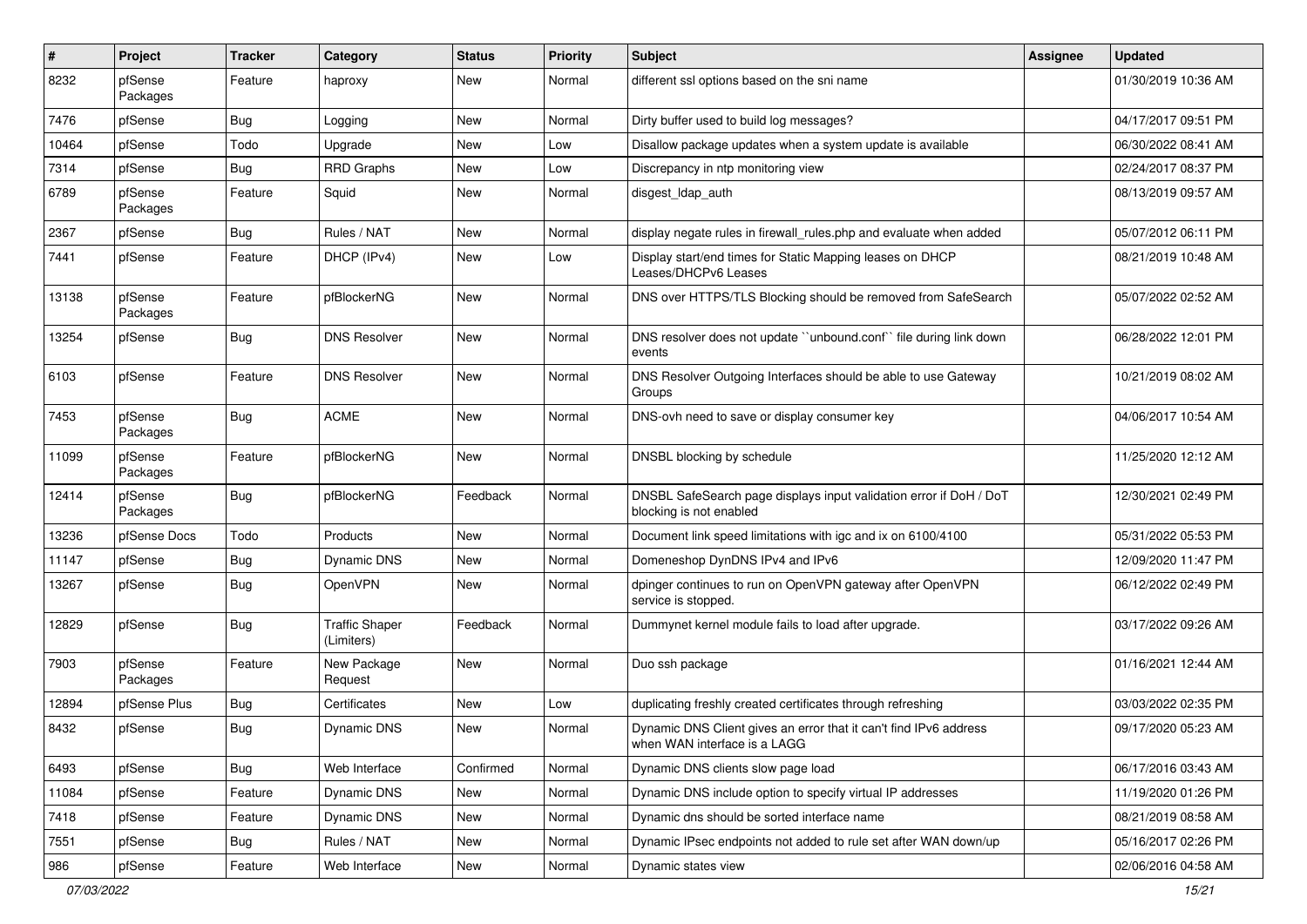| #     | Project             | <b>Tracker</b> | Category                            | <b>Status</b> | <b>Priority</b> | Subject                                                                                           | <b>Assignee</b> | <b>Updated</b>      |
|-------|---------------------|----------------|-------------------------------------|---------------|-----------------|---------------------------------------------------------------------------------------------------|-----------------|---------------------|
| 8232  | pfSense<br>Packages | Feature        | haproxy                             | <b>New</b>    | Normal          | different ssl options based on the sni name                                                       |                 | 01/30/2019 10:36 AM |
| 7476  | pfSense             | Bug            | Logging                             | New           | Normal          | Dirty buffer used to build log messages?                                                          |                 | 04/17/2017 09:51 PM |
| 10464 | pfSense             | Todo           | Upgrade                             | New           | Low             | Disallow package updates when a system update is available                                        |                 | 06/30/2022 08:41 AM |
| 7314  | pfSense             | Bug            | RRD Graphs                          | <b>New</b>    | Low             | Discrepancy in ntp monitoring view                                                                |                 | 02/24/2017 08:37 PM |
| 6789  | pfSense<br>Packages | Feature        | Squid                               | New           | Normal          | disgest_ldap_auth                                                                                 |                 | 08/13/2019 09:57 AM |
| 2367  | pfSense             | Bug            | Rules / NAT                         | <b>New</b>    | Normal          | display negate rules in firewall rules php and evaluate when added                                |                 | 05/07/2012 06:11 PM |
| 7441  | pfSense             | Feature        | DHCP (IPv4)                         | <b>New</b>    | Low             | Display start/end times for Static Mapping leases on DHCP<br>Leases/DHCPv6 Leases                 |                 | 08/21/2019 10:48 AM |
| 13138 | pfSense<br>Packages | Feature        | pfBlockerNG                         | <b>New</b>    | Normal          | DNS over HTTPS/TLS Blocking should be removed from SafeSearch                                     |                 | 05/07/2022 02:52 AM |
| 13254 | pfSense             | <b>Bug</b>     | <b>DNS Resolver</b>                 | New           | Normal          | DNS resolver does not update "unbound.conf" file during link down<br>events                       |                 | 06/28/2022 12:01 PM |
| 6103  | pfSense             | Feature        | <b>DNS Resolver</b>                 | <b>New</b>    | Normal          | DNS Resolver Outgoing Interfaces should be able to use Gateway<br>Groups                          |                 | 10/21/2019 08:02 AM |
| 7453  | pfSense<br>Packages | <b>Bug</b>     | <b>ACME</b>                         | <b>New</b>    | Normal          | DNS-ovh need to save or display consumer key                                                      |                 | 04/06/2017 10:54 AM |
| 11099 | pfSense<br>Packages | Feature        | pfBlockerNG                         | <b>New</b>    | Normal          | DNSBL blocking by schedule                                                                        |                 | 11/25/2020 12:12 AM |
| 12414 | pfSense<br>Packages | <b>Bug</b>     | pfBlockerNG                         | Feedback      | Normal          | DNSBL SafeSearch page displays input validation error if DoH / DoT<br>blocking is not enabled     |                 | 12/30/2021 02:49 PM |
| 13236 | pfSense Docs        | Todo           | Products                            | <b>New</b>    | Normal          | Document link speed limitations with igc and ix on 6100/4100                                      |                 | 05/31/2022 05:53 PM |
| 11147 | pfSense             | Bug            | Dynamic DNS                         | <b>New</b>    | Normal          | Domeneshop DynDNS IPv4 and IPv6                                                                   |                 | 12/09/2020 11:47 PM |
| 13267 | pfSense             | <b>Bug</b>     | OpenVPN                             | New           | Normal          | dpinger continues to run on OpenVPN gateway after OpenVPN<br>service is stopped.                  |                 | 06/12/2022 02:49 PM |
| 12829 | pfSense             | <b>Bug</b>     | <b>Traffic Shaper</b><br>(Limiters) | Feedback      | Normal          | Dummynet kernel module fails to load after upgrade.                                               |                 | 03/17/2022 09:26 AM |
| 7903  | pfSense<br>Packages | Feature        | New Package<br>Request              | <b>New</b>    | Normal          | Duo ssh package                                                                                   |                 | 01/16/2021 12:44 AM |
| 12894 | pfSense Plus        | Bug            | Certificates                        | <b>New</b>    | Low             | duplicating freshly created certificates through refreshing                                       |                 | 03/03/2022 02:35 PM |
| 8432  | pfSense             | <b>Bug</b>     | Dynamic DNS                         | <b>New</b>    | Normal          | Dynamic DNS Client gives an error that it can't find IPv6 address<br>when WAN interface is a LAGG |                 | 09/17/2020 05:23 AM |
| 6493  | pfSense             | <b>Bug</b>     | Web Interface                       | Confirmed     | Normal          | Dynamic DNS clients slow page load                                                                |                 | 06/17/2016 03:43 AM |
| 11084 | pfSense             | Feature        | Dynamic DNS                         | <b>New</b>    | Normal          | Dynamic DNS include option to specify virtual IP addresses                                        |                 | 11/19/2020 01:26 PM |
| 7418  | pfSense             | Feature        | Dynamic DNS                         | New           | Normal          | Dynamic dns should be sorted interface name                                                       |                 | 08/21/2019 08:58 AM |
| 7551  | pfSense             | <b>Bug</b>     | Rules / NAT                         | New           | Normal          | Dynamic IPsec endpoints not added to rule set after WAN down/up                                   |                 | 05/16/2017 02:26 PM |
| 986   | pfSense             | Feature        | Web Interface                       | New           | Normal          | Dynamic states view                                                                               |                 | 02/06/2016 04:58 AM |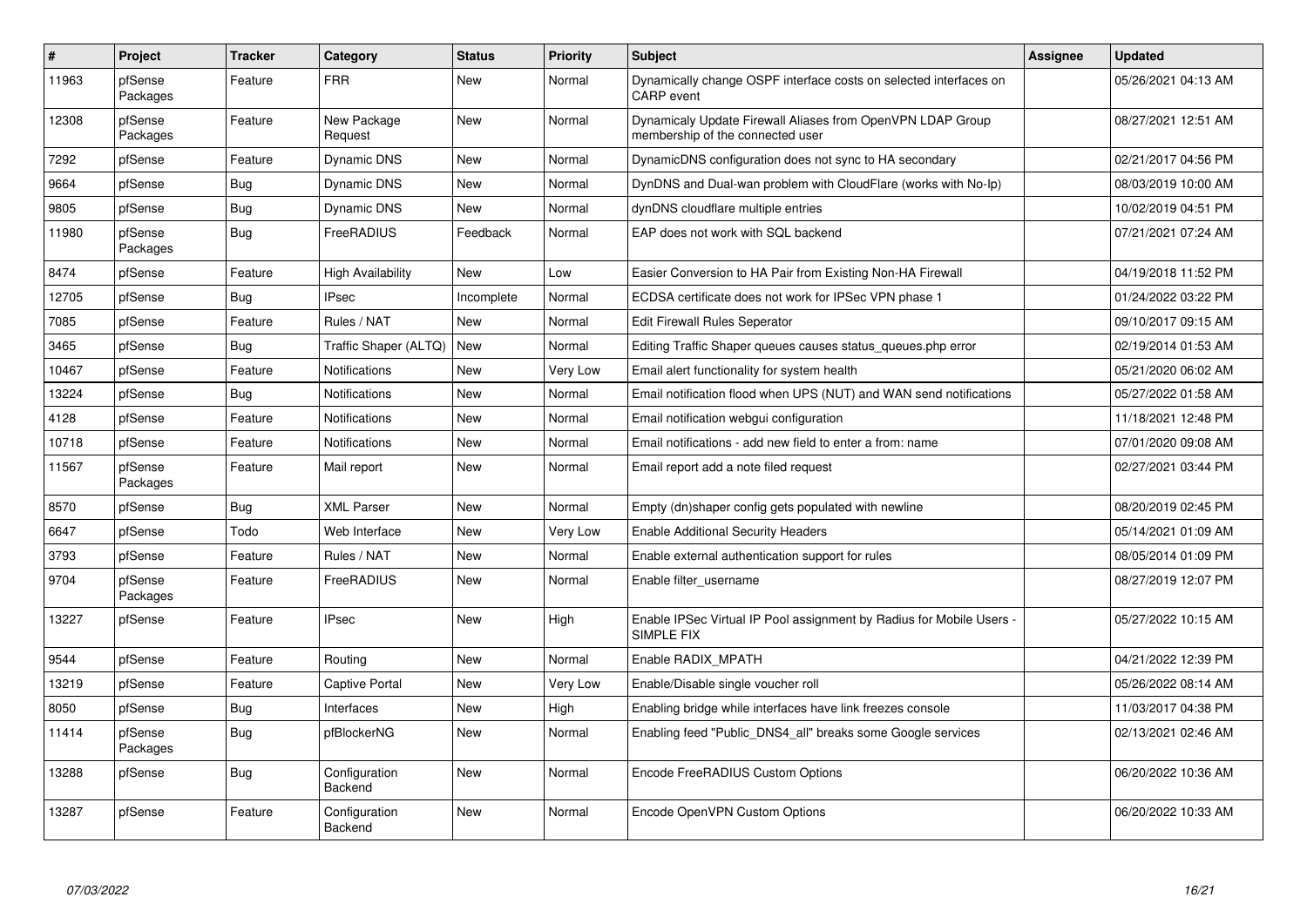| $\vert$ # | Project             | <b>Tracker</b> | Category                 | <b>Status</b> | <b>Priority</b> | <b>Subject</b>                                                                                 | <b>Assignee</b> | <b>Updated</b>      |
|-----------|---------------------|----------------|--------------------------|---------------|-----------------|------------------------------------------------------------------------------------------------|-----------------|---------------------|
| 11963     | pfSense<br>Packages | Feature        | <b>FRR</b>               | <b>New</b>    | Normal          | Dynamically change OSPF interface costs on selected interfaces on<br><b>CARP</b> event         |                 | 05/26/2021 04:13 AM |
| 12308     | pfSense<br>Packages | Feature        | New Package<br>Request   | New           | Normal          | Dynamicaly Update Firewall Aliases from OpenVPN LDAP Group<br>membership of the connected user |                 | 08/27/2021 12:51 AM |
| 7292      | pfSense             | Feature        | Dynamic DNS              | <b>New</b>    | Normal          | DynamicDNS configuration does not sync to HA secondary                                         |                 | 02/21/2017 04:56 PM |
| 9664      | pfSense             | Bug            | Dynamic DNS              | <b>New</b>    | Normal          | DynDNS and Dual-wan problem with CloudFlare (works with No-Ip)                                 |                 | 08/03/2019 10:00 AM |
| 9805      | pfSense             | <b>Bug</b>     | Dynamic DNS              | <b>New</b>    | Normal          | dynDNS cloudflare multiple entries                                                             |                 | 10/02/2019 04:51 PM |
| 11980     | pfSense<br>Packages | Bug            | FreeRADIUS               | Feedback      | Normal          | EAP does not work with SQL backend                                                             |                 | 07/21/2021 07:24 AM |
| 8474      | pfSense             | Feature        | <b>High Availability</b> | <b>New</b>    | Low             | Easier Conversion to HA Pair from Existing Non-HA Firewall                                     |                 | 04/19/2018 11:52 PM |
| 12705     | pfSense             | <b>Bug</b>     | <b>IPsec</b>             | Incomplete    | Normal          | ECDSA certificate does not work for IPSec VPN phase 1                                          |                 | 01/24/2022 03:22 PM |
| 7085      | pfSense             | Feature        | Rules / NAT              | <b>New</b>    | Normal          | <b>Edit Firewall Rules Seperator</b>                                                           |                 | 09/10/2017 09:15 AM |
| 3465      | pfSense             | <b>Bug</b>     | Traffic Shaper (ALTQ)    | <b>New</b>    | Normal          | Editing Traffic Shaper queues causes status queues.php error                                   |                 | 02/19/2014 01:53 AM |
| 10467     | pfSense             | Feature        | <b>Notifications</b>     | New           | Very Low        | Email alert functionality for system health                                                    |                 | 05/21/2020 06:02 AM |
| 13224     | pfSense             | <b>Bug</b>     | Notifications            | New           | Normal          | Email notification flood when UPS (NUT) and WAN send notifications                             |                 | 05/27/2022 01:58 AM |
| 4128      | pfSense             | Feature        | Notifications            | New           | Normal          | Email notification webgui configuration                                                        |                 | 11/18/2021 12:48 PM |
| 10718     | pfSense             | Feature        | <b>Notifications</b>     | New           | Normal          | Email notifications - add new field to enter a from: name                                      |                 | 07/01/2020 09:08 AM |
| 11567     | pfSense<br>Packages | Feature        | Mail report              | <b>New</b>    | Normal          | Email report add a note filed request                                                          |                 | 02/27/2021 03:44 PM |
| 8570      | pfSense             | Bug            | <b>XML Parser</b>        | <b>New</b>    | Normal          | Empty (dn)shaper config gets populated with newline                                            |                 | 08/20/2019 02:45 PM |
| 6647      | pfSense             | Todo           | Web Interface            | New           | Very Low        | <b>Enable Additional Security Headers</b>                                                      |                 | 05/14/2021 01:09 AM |
| 3793      | pfSense             | Feature        | Rules / NAT              | <b>New</b>    | Normal          | Enable external authentication support for rules                                               |                 | 08/05/2014 01:09 PM |
| 9704      | pfSense<br>Packages | Feature        | FreeRADIUS               | New           | Normal          | Enable filter_username                                                                         |                 | 08/27/2019 12:07 PM |
| 13227     | pfSense             | Feature        | <b>IPsec</b>             | <b>New</b>    | High            | Enable IPSec Virtual IP Pool assignment by Radius for Mobile Users -<br><b>SIMPLE FIX</b>      |                 | 05/27/2022 10:15 AM |
| 9544      | pfSense             | Feature        | Routing                  | <b>New</b>    | Normal          | Enable RADIX_MPATH                                                                             |                 | 04/21/2022 12:39 PM |
| 13219     | pfSense             | Feature        | <b>Captive Portal</b>    | New           | Very Low        | Enable/Disable single voucher roll                                                             |                 | 05/26/2022 08:14 AM |
| 8050      | pfSense             | <b>Bug</b>     | Interfaces               | New           | High            | Enabling bridge while interfaces have link freezes console                                     |                 | 11/03/2017 04:38 PM |
| 11414     | pfSense<br>Packages | <b>Bug</b>     | pfBlockerNG              | New           | Normal          | Enabling feed "Public_DNS4_all" breaks some Google services                                    |                 | 02/13/2021 02:46 AM |
| 13288     | pfSense             | <b>Bug</b>     | Configuration<br>Backend | New           | Normal          | Encode FreeRADIUS Custom Options                                                               |                 | 06/20/2022 10:36 AM |
| 13287     | pfSense             | Feature        | Configuration<br>Backend | <b>New</b>    | Normal          | Encode OpenVPN Custom Options                                                                  |                 | 06/20/2022 10:33 AM |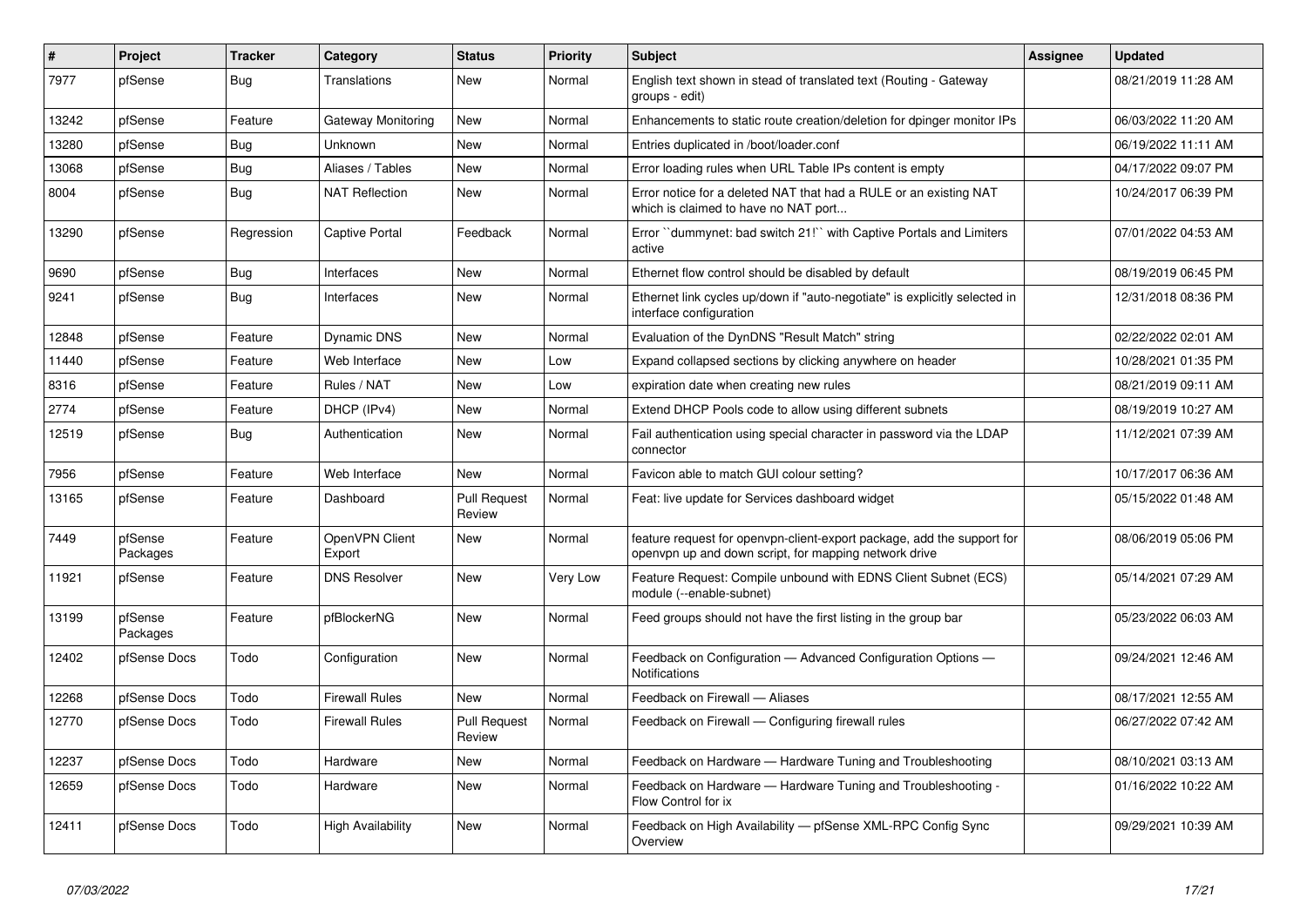| $\sharp$ | <b>Project</b>      | <b>Tracker</b> | Category                 | <b>Status</b>                 | <b>Priority</b> | <b>Subject</b>                                                                                                                  | <b>Assignee</b> | <b>Updated</b>      |
|----------|---------------------|----------------|--------------------------|-------------------------------|-----------------|---------------------------------------------------------------------------------------------------------------------------------|-----------------|---------------------|
| 7977     | pfSense             | <b>Bug</b>     | Translations             | New                           | Normal          | English text shown in stead of translated text (Routing - Gateway<br>groups - edit)                                             |                 | 08/21/2019 11:28 AM |
| 13242    | pfSense             | Feature        | Gateway Monitoring       | <b>New</b>                    | Normal          | Enhancements to static route creation/deletion for dpinger monitor IPs                                                          |                 | 06/03/2022 11:20 AM |
| 13280    | pfSense             | <b>Bug</b>     | Unknown                  | New                           | Normal          | Entries duplicated in /boot/loader.conf                                                                                         |                 | 06/19/2022 11:11 AM |
| 13068    | pfSense             | <b>Bug</b>     | Aliases / Tables         | <b>New</b>                    | Normal          | Error loading rules when URL Table IPs content is empty                                                                         |                 | 04/17/2022 09:07 PM |
| 8004     | pfSense             | Bug            | NAT Reflection           | <b>New</b>                    | Normal          | Error notice for a deleted NAT that had a RULE or an existing NAT<br>which is claimed to have no NAT port                       |                 | 10/24/2017 06:39 PM |
| 13290    | pfSense             | Regression     | Captive Portal           | Feedback                      | Normal          | Error "dummynet: bad switch 21!" with Captive Portals and Limiters<br>active                                                    |                 | 07/01/2022 04:53 AM |
| 9690     | pfSense             | <b>Bug</b>     | Interfaces               | New                           | Normal          | Ethernet flow control should be disabled by default                                                                             |                 | 08/19/2019 06:45 PM |
| 9241     | pfSense             | Bug            | Interfaces               | New                           | Normal          | Ethernet link cycles up/down if "auto-negotiate" is explicitly selected in<br>interface configuration                           |                 | 12/31/2018 08:36 PM |
| 12848    | pfSense             | Feature        | Dynamic DNS              | New                           | Normal          | Evaluation of the DynDNS "Result Match" string                                                                                  |                 | 02/22/2022 02:01 AM |
| 11440    | pfSense             | Feature        | Web Interface            | New                           | Low             | Expand collapsed sections by clicking anywhere on header                                                                        |                 | 10/28/2021 01:35 PM |
| 8316     | pfSense             | Feature        | Rules / NAT              | <b>New</b>                    | Low             | expiration date when creating new rules                                                                                         |                 | 08/21/2019 09:11 AM |
| 2774     | pfSense             | Feature        | DHCP (IPv4)              | <b>New</b>                    | Normal          | Extend DHCP Pools code to allow using different subnets                                                                         |                 | 08/19/2019 10:27 AM |
| 12519    | pfSense             | Bug            | Authentication           | New                           | Normal          | Fail authentication using special character in password via the LDAP<br>connector                                               |                 | 11/12/2021 07:39 AM |
| 7956     | pfSense             | Feature        | Web Interface            | <b>New</b>                    | Normal          | Favicon able to match GUI colour setting?                                                                                       |                 | 10/17/2017 06:36 AM |
| 13165    | pfSense             | Feature        | Dashboard                | <b>Pull Request</b><br>Review | Normal          | Feat: live update for Services dashboard widget                                                                                 |                 | 05/15/2022 01:48 AM |
| 7449     | pfSense<br>Packages | Feature        | OpenVPN Client<br>Export | New                           | Normal          | feature request for openvpn-client-export package, add the support for<br>openvpn up and down script, for mapping network drive |                 | 08/06/2019 05:06 PM |
| 11921    | pfSense             | Feature        | <b>DNS Resolver</b>      | New                           | Very Low        | Feature Request: Compile unbound with EDNS Client Subnet (ECS)<br>module (--enable-subnet)                                      |                 | 05/14/2021 07:29 AM |
| 13199    | pfSense<br>Packages | Feature        | pfBlockerNG              | New                           | Normal          | Feed groups should not have the first listing in the group bar                                                                  |                 | 05/23/2022 06:03 AM |
| 12402    | pfSense Docs        | Todo           | Configuration            | <b>New</b>                    | Normal          | Feedback on Configuration - Advanced Configuration Options -<br>Notifications                                                   |                 | 09/24/2021 12:46 AM |
| 12268    | pfSense Docs        | Todo           | <b>Firewall Rules</b>    | <b>New</b>                    | Normal          | Feedback on Firewall - Aliases                                                                                                  |                 | 08/17/2021 12:55 AM |
| 12770    | pfSense Docs        | Todo           | Firewall Rules           | <b>Pull Request</b><br>Review | Normal          | Feedback on Firewall — Configuring firewall rules                                                                               |                 | 06/27/2022 07:42 AM |
| 12237    | pfSense Docs        | Todo           | Hardware                 | <b>New</b>                    | Normal          | Feedback on Hardware - Hardware Tuning and Troubleshooting                                                                      |                 | 08/10/2021 03:13 AM |
| 12659    | pfSense Docs        | Todo           | Hardware                 | New                           | Normal          | Feedback on Hardware - Hardware Tuning and Troubleshooting -<br>Flow Control for ix                                             |                 | 01/16/2022 10:22 AM |
| 12411    | pfSense Docs        | Todo           | <b>High Availability</b> | <b>New</b>                    | Normal          | Feedback on High Availability - pfSense XML-RPC Config Sync<br>Overview                                                         |                 | 09/29/2021 10:39 AM |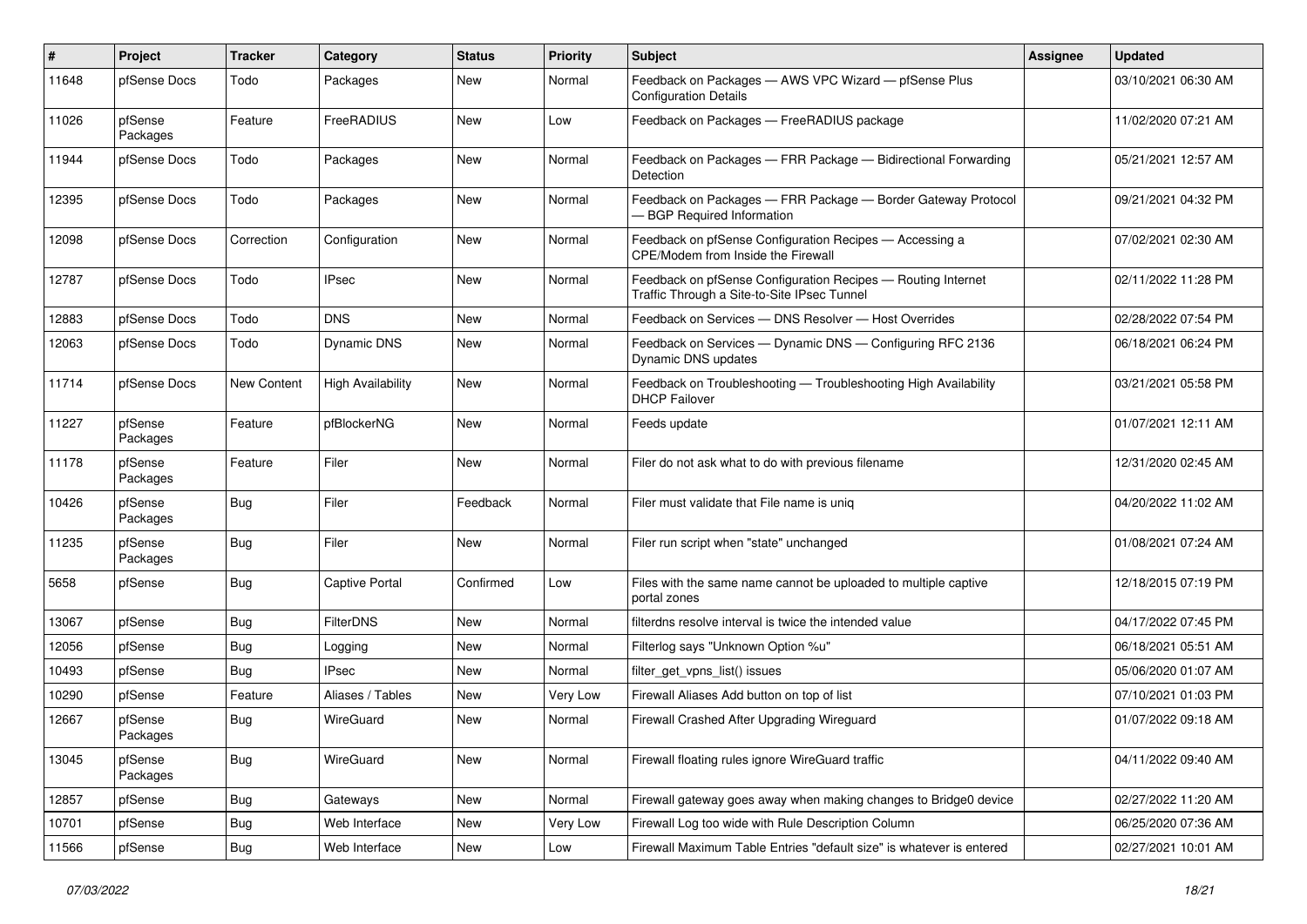| #     | Project             | <b>Tracker</b> | Category                 | <b>Status</b> | <b>Priority</b> | Subject                                                                                                     | <b>Assignee</b> | <b>Updated</b>      |
|-------|---------------------|----------------|--------------------------|---------------|-----------------|-------------------------------------------------------------------------------------------------------------|-----------------|---------------------|
| 11648 | pfSense Docs        | Todo           | Packages                 | New           | Normal          | Feedback on Packages - AWS VPC Wizard - pfSense Plus<br><b>Configuration Details</b>                        |                 | 03/10/2021 06:30 AM |
| 11026 | pfSense<br>Packages | Feature        | FreeRADIUS               | New           | Low             | Feedback on Packages - FreeRADIUS package                                                                   |                 | 11/02/2020 07:21 AM |
| 11944 | pfSense Docs        | Todo           | Packages                 | <b>New</b>    | Normal          | Feedback on Packages - FRR Package - Bidirectional Forwarding<br>Detection                                  |                 | 05/21/2021 12:57 AM |
| 12395 | pfSense Docs        | Todo           | Packages                 | New           | Normal          | Feedback on Packages - FRR Package - Border Gateway Protocol<br><b>BGP Required Information</b>             |                 | 09/21/2021 04:32 PM |
| 12098 | pfSense Docs        | Correction     | Configuration            | <b>New</b>    | Normal          | Feedback on pfSense Configuration Recipes - Accessing a<br>CPE/Modem from Inside the Firewall               |                 | 07/02/2021 02:30 AM |
| 12787 | pfSense Docs        | Todo           | <b>IPsec</b>             | <b>New</b>    | Normal          | Feedback on pfSense Configuration Recipes - Routing Internet<br>Traffic Through a Site-to-Site IPsec Tunnel |                 | 02/11/2022 11:28 PM |
| 12883 | pfSense Docs        | Todo           | <b>DNS</b>               | <b>New</b>    | Normal          | Feedback on Services - DNS Resolver - Host Overrides                                                        |                 | 02/28/2022 07:54 PM |
| 12063 | pfSense Docs        | Todo           | Dynamic DNS              | New           | Normal          | Feedback on Services — Dynamic DNS — Configuring RFC 2136<br>Dynamic DNS updates                            |                 | 06/18/2021 06:24 PM |
| 11714 | pfSense Docs        | New Content    | <b>High Availability</b> | <b>New</b>    | Normal          | Feedback on Troubleshooting - Troubleshooting High Availability<br><b>DHCP Failover</b>                     |                 | 03/21/2021 05:58 PM |
| 11227 | pfSense<br>Packages | Feature        | pfBlockerNG              | <b>New</b>    | Normal          | Feeds update                                                                                                |                 | 01/07/2021 12:11 AM |
| 11178 | pfSense<br>Packages | Feature        | Filer                    | <b>New</b>    | Normal          | Filer do not ask what to do with previous filename                                                          |                 | 12/31/2020 02:45 AM |
| 10426 | pfSense<br>Packages | Bug            | Filer                    | Feedback      | Normal          | Filer must validate that File name is uniq                                                                  |                 | 04/20/2022 11:02 AM |
| 11235 | pfSense<br>Packages | <b>Bug</b>     | Filer                    | <b>New</b>    | Normal          | Filer run script when "state" unchanged                                                                     |                 | 01/08/2021 07:24 AM |
| 5658  | pfSense             | Bug            | Captive Portal           | Confirmed     | Low             | Files with the same name cannot be uploaded to multiple captive<br>portal zones                             |                 | 12/18/2015 07:19 PM |
| 13067 | pfSense             | Bug            | <b>FilterDNS</b>         | <b>New</b>    | Normal          | filterdns resolve interval is twice the intended value                                                      |                 | 04/17/2022 07:45 PM |
| 12056 | pfSense             | Bug            | Logging                  | New           | Normal          | Filterlog says "Unknown Option %u"                                                                          |                 | 06/18/2021 05:51 AM |
| 10493 | pfSense             | Bug            | <b>IPsec</b>             | New           | Normal          | filter_get_vpns_list() issues                                                                               |                 | 05/06/2020 01:07 AM |
| 10290 | pfSense             | Feature        | Aliases / Tables         | New           | Very Low        | Firewall Aliases Add button on top of list                                                                  |                 | 07/10/2021 01:03 PM |
| 12667 | pfSense<br>Packages | <b>Bug</b>     | WireGuard                | New           | Normal          | Firewall Crashed After Upgrading Wireguard                                                                  |                 | 01/07/2022 09:18 AM |
| 13045 | pfSense<br>Packages | <b>Bug</b>     | WireGuard                | New           | Normal          | Firewall floating rules ignore WireGuard traffic                                                            |                 | 04/11/2022 09:40 AM |
| 12857 | pfSense             | Bug            | Gateways                 | New           | Normal          | Firewall gateway goes away when making changes to Bridge0 device                                            |                 | 02/27/2022 11:20 AM |
| 10701 | pfSense             | <b>Bug</b>     | Web Interface            | New           | Very Low        | Firewall Log too wide with Rule Description Column                                                          |                 | 06/25/2020 07:36 AM |
| 11566 | pfSense             | <b>Bug</b>     | Web Interface            | New           | Low             | Firewall Maximum Table Entries "default size" is whatever is entered                                        |                 | 02/27/2021 10:01 AM |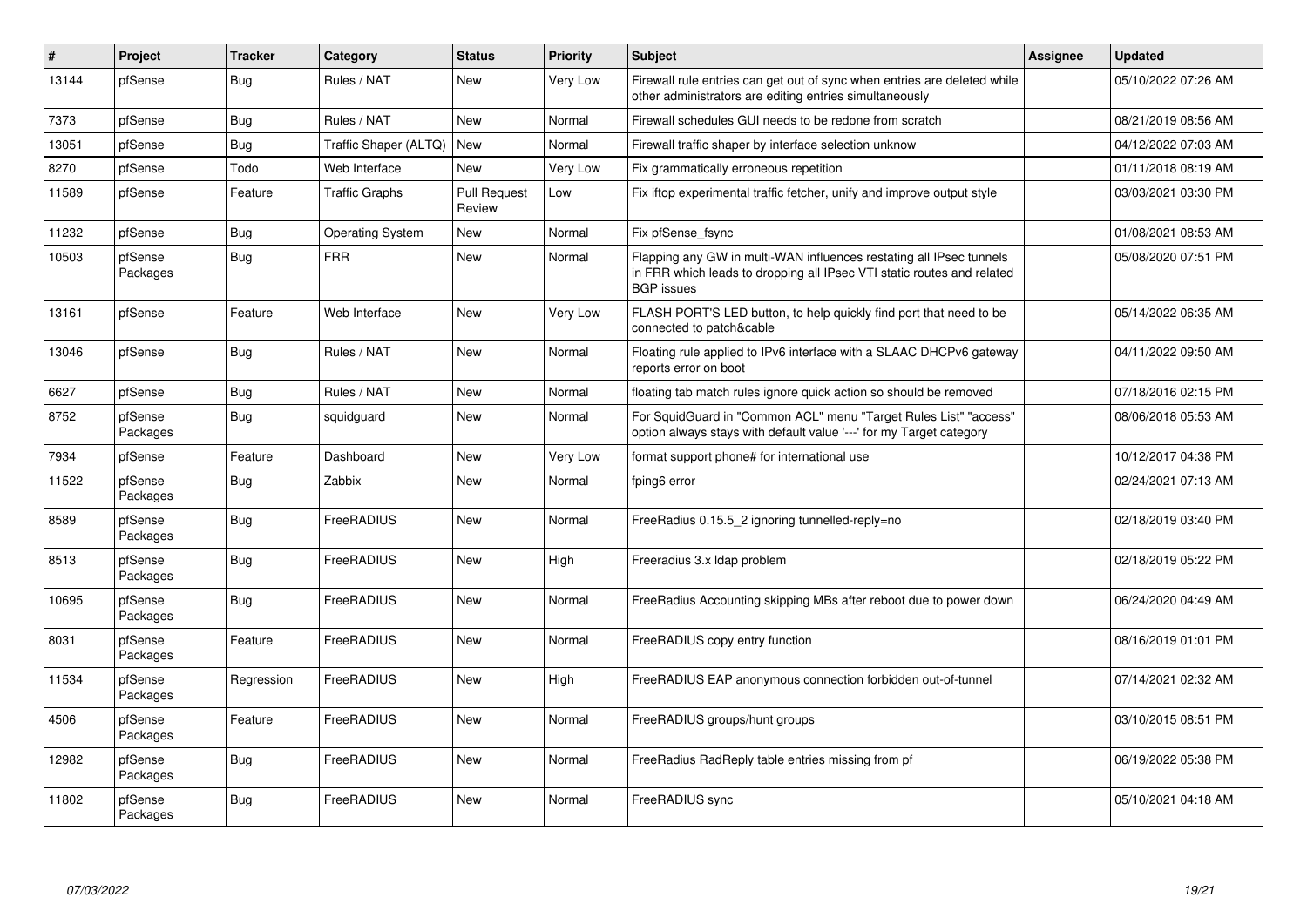| $\vert$ # | Project             | <b>Tracker</b> | Category                | <b>Status</b>                 | <b>Priority</b> | <b>Subject</b>                                                                                                                                                     | Assignee | <b>Updated</b>      |
|-----------|---------------------|----------------|-------------------------|-------------------------------|-----------------|--------------------------------------------------------------------------------------------------------------------------------------------------------------------|----------|---------------------|
| 13144     | pfSense             | <b>Bug</b>     | Rules / NAT             | <b>New</b>                    | Very Low        | Firewall rule entries can get out of sync when entries are deleted while<br>other administrators are editing entries simultaneously                                |          | 05/10/2022 07:26 AM |
| 7373      | pfSense             | <b>Bug</b>     | Rules / NAT             | <b>New</b>                    | Normal          | Firewall schedules GUI needs to be redone from scratch                                                                                                             |          | 08/21/2019 08:56 AM |
| 13051     | pfSense             | Bug            | Traffic Shaper (ALTQ)   | New                           | Normal          | Firewall traffic shaper by interface selection unknow                                                                                                              |          | 04/12/2022 07:03 AM |
| 8270      | pfSense             | Todo           | Web Interface           | <b>New</b>                    | Very Low        | Fix grammatically erroneous repetition                                                                                                                             |          | 01/11/2018 08:19 AM |
| 11589     | pfSense             | Feature        | <b>Traffic Graphs</b>   | <b>Pull Request</b><br>Review | Low             | Fix iftop experimental traffic fetcher, unify and improve output style                                                                                             |          | 03/03/2021 03:30 PM |
| 11232     | pfSense             | Bug            | <b>Operating System</b> | New                           | Normal          | Fix pfSense fsync                                                                                                                                                  |          | 01/08/2021 08:53 AM |
| 10503     | pfSense<br>Packages | Bug            | <b>FRR</b>              | <b>New</b>                    | Normal          | Flapping any GW in multi-WAN influences restating all IPsec tunnels<br>in FRR which leads to dropping all IPsec VTI static routes and related<br><b>BGP</b> issues |          | 05/08/2020 07:51 PM |
| 13161     | pfSense             | Feature        | Web Interface           | New                           | Very Low        | FLASH PORT'S LED button, to help quickly find port that need to be<br>connected to patch&cable                                                                     |          | 05/14/2022 06:35 AM |
| 13046     | pfSense             | <b>Bug</b>     | Rules / NAT             | New                           | Normal          | Floating rule applied to IPv6 interface with a SLAAC DHCPv6 gateway<br>reports error on boot                                                                       |          | 04/11/2022 09:50 AM |
| 6627      | pfSense             | Bug            | Rules / NAT             | New                           | Normal          | floating tab match rules ignore quick action so should be removed                                                                                                  |          | 07/18/2016 02:15 PM |
| 8752      | pfSense<br>Packages | Bug            | squidguard              | New                           | Normal          | For SquidGuard in "Common ACL" menu "Target Rules List" "access"<br>option always stays with default value '---' for my Target category                            |          | 08/06/2018 05:53 AM |
| 7934      | pfSense             | Feature        | Dashboard               | New                           | Very Low        | format support phone# for international use                                                                                                                        |          | 10/12/2017 04:38 PM |
| 11522     | pfSense<br>Packages | <b>Bug</b>     | Zabbix                  | New                           | Normal          | fping6 error                                                                                                                                                       |          | 02/24/2021 07:13 AM |
| 8589      | pfSense<br>Packages | <b>Bug</b>     | FreeRADIUS              | <b>New</b>                    | Normal          | FreeRadius 0.15.5_2 ignoring tunnelled-reply=no                                                                                                                    |          | 02/18/2019 03:40 PM |
| 8513      | pfSense<br>Packages | <b>Bug</b>     | FreeRADIUS              | New                           | High            | Freeradius 3.x Idap problem                                                                                                                                        |          | 02/18/2019 05:22 PM |
| 10695     | pfSense<br>Packages | <b>Bug</b>     | FreeRADIUS              | <b>New</b>                    | Normal          | FreeRadius Accounting skipping MBs after reboot due to power down                                                                                                  |          | 06/24/2020 04:49 AM |
| 8031      | pfSense<br>Packages | Feature        | FreeRADIUS              | <b>New</b>                    | Normal          | FreeRADIUS copy entry function                                                                                                                                     |          | 08/16/2019 01:01 PM |
| 11534     | pfSense<br>Packages | Regression     | FreeRADIUS              | <b>New</b>                    | High            | FreeRADIUS EAP anonymous connection forbidden out-of-tunnel                                                                                                        |          | 07/14/2021 02:32 AM |
| 4506      | pfSense<br>Packages | Feature        | FreeRADIUS              | <b>New</b>                    | Normal          | FreeRADIUS groups/hunt groups                                                                                                                                      |          | 03/10/2015 08:51 PM |
| 12982     | pfSense<br>Packages | Bug            | FreeRADIUS              | <b>New</b>                    | Normal          | FreeRadius RadReply table entries missing from pf                                                                                                                  |          | 06/19/2022 05:38 PM |
| 11802     | pfSense<br>Packages | Bug            | FreeRADIUS              | <b>New</b>                    | Normal          | FreeRADIUS sync                                                                                                                                                    |          | 05/10/2021 04:18 AM |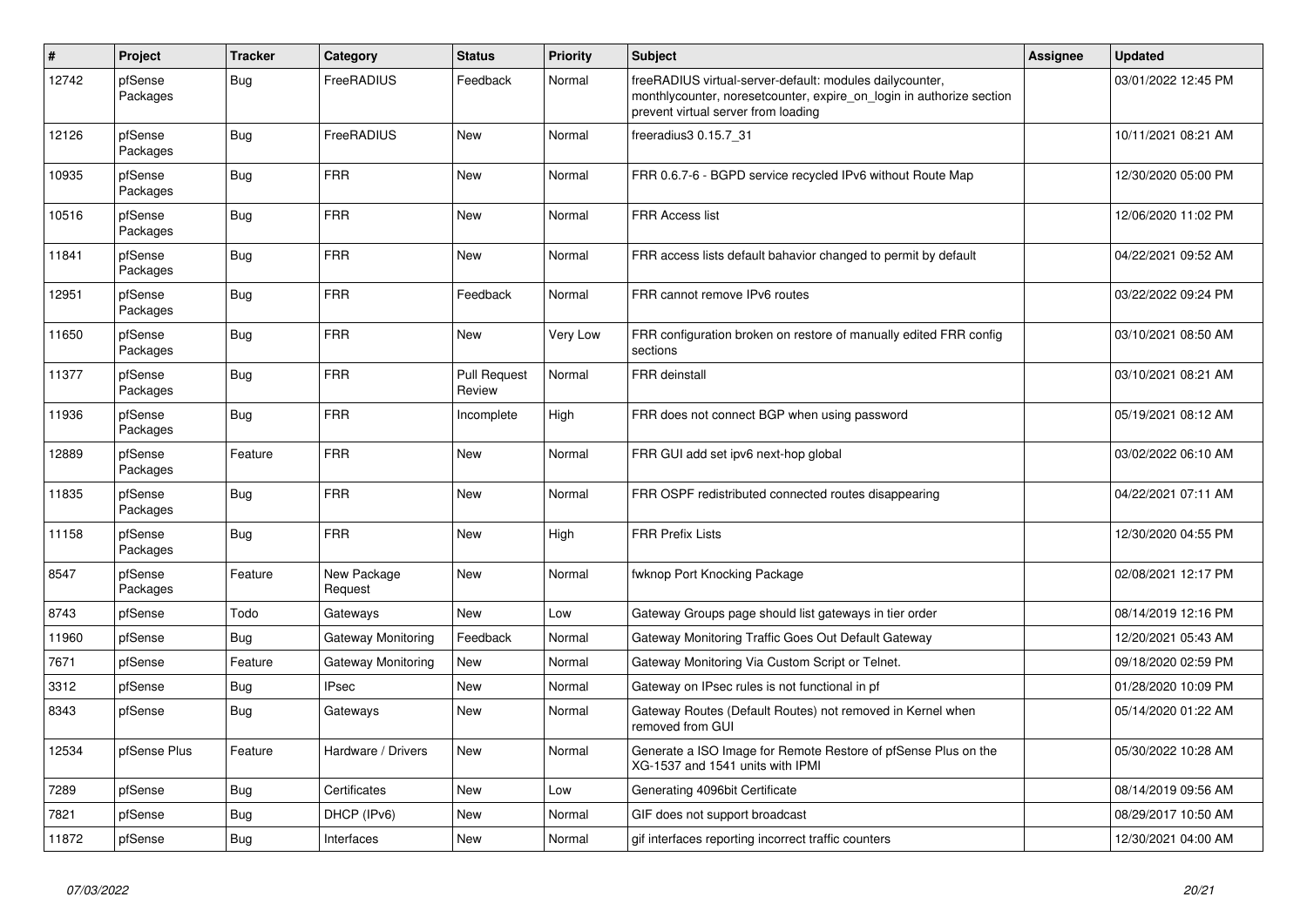| $\vert$ # | Project             | <b>Tracker</b> | Category                  | <b>Status</b>                 | <b>Priority</b> | <b>Subject</b>                                                                                                                                                          | Assignee | <b>Updated</b>      |
|-----------|---------------------|----------------|---------------------------|-------------------------------|-----------------|-------------------------------------------------------------------------------------------------------------------------------------------------------------------------|----------|---------------------|
| 12742     | pfSense<br>Packages | Bug            | FreeRADIUS                | Feedback                      | Normal          | freeRADIUS virtual-server-default: modules dailycounter,<br>monthlycounter, noresetcounter, expire_on_login in authorize section<br>prevent virtual server from loading |          | 03/01/2022 12:45 PM |
| 12126     | pfSense<br>Packages | Bug            | FreeRADIUS                | <b>New</b>                    | Normal          | freeradius3 0.15.7_31                                                                                                                                                   |          | 10/11/2021 08:21 AM |
| 10935     | pfSense<br>Packages | Bug            | <b>FRR</b>                | New                           | Normal          | FRR 0.6.7-6 - BGPD service recycled IPv6 without Route Map                                                                                                              |          | 12/30/2020 05:00 PM |
| 10516     | pfSense<br>Packages | <b>Bug</b>     | <b>FRR</b>                | New                           | Normal          | FRR Access list                                                                                                                                                         |          | 12/06/2020 11:02 PM |
| 11841     | pfSense<br>Packages | <b>Bug</b>     | <b>FRR</b>                | <b>New</b>                    | Normal          | FRR access lists default bahavior changed to permit by default                                                                                                          |          | 04/22/2021 09:52 AM |
| 12951     | pfSense<br>Packages | <b>Bug</b>     | <b>FRR</b>                | Feedback                      | Normal          | FRR cannot remove IPv6 routes                                                                                                                                           |          | 03/22/2022 09:24 PM |
| 11650     | pfSense<br>Packages | Bug            | <b>FRR</b>                | New                           | Very Low        | FRR configuration broken on restore of manually edited FRR config<br>sections                                                                                           |          | 03/10/2021 08:50 AM |
| 11377     | pfSense<br>Packages | <b>Bug</b>     | <b>FRR</b>                | <b>Pull Request</b><br>Review | Normal          | FRR deinstall                                                                                                                                                           |          | 03/10/2021 08:21 AM |
| 11936     | pfSense<br>Packages | Bug            | <b>FRR</b>                | Incomplete                    | High            | FRR does not connect BGP when using password                                                                                                                            |          | 05/19/2021 08:12 AM |
| 12889     | pfSense<br>Packages | Feature        | <b>FRR</b>                | <b>New</b>                    | Normal          | FRR GUI add set ipv6 next-hop global                                                                                                                                    |          | 03/02/2022 06:10 AM |
| 11835     | pfSense<br>Packages | <b>Bug</b>     | <b>FRR</b>                | New                           | Normal          | FRR OSPF redistributed connected routes disappearing                                                                                                                    |          | 04/22/2021 07:11 AM |
| 11158     | pfSense<br>Packages | <b>Bug</b>     | <b>FRR</b>                | New                           | High            | <b>FRR Prefix Lists</b>                                                                                                                                                 |          | 12/30/2020 04:55 PM |
| 8547      | pfSense<br>Packages | Feature        | New Package<br>Request    | <b>New</b>                    | Normal          | fwknop Port Knocking Package                                                                                                                                            |          | 02/08/2021 12:17 PM |
| 8743      | pfSense             | Todo           | Gateways                  | <b>New</b>                    | Low             | Gateway Groups page should list gateways in tier order                                                                                                                  |          | 08/14/2019 12:16 PM |
| 11960     | pfSense             | Bug            | <b>Gateway Monitoring</b> | Feedback                      | Normal          | Gateway Monitoring Traffic Goes Out Default Gateway                                                                                                                     |          | 12/20/2021 05:43 AM |
| 7671      | pfSense             | Feature        | Gateway Monitoring        | New                           | Normal          | Gateway Monitoring Via Custom Script or Telnet.                                                                                                                         |          | 09/18/2020 02:59 PM |
| 3312      | pfSense             | Bug            | <b>IPsec</b>              | <b>New</b>                    | Normal          | Gateway on IPsec rules is not functional in pf                                                                                                                          |          | 01/28/2020 10:09 PM |
| 8343      | pfSense             | Bug            | Gateways                  | <b>New</b>                    | Normal          | Gateway Routes (Default Routes) not removed in Kernel when<br>removed from GUI                                                                                          |          | 05/14/2020 01:22 AM |
| 12534     | pfSense Plus        | Feature        | Hardware / Drivers        | <b>New</b>                    | Normal          | Generate a ISO Image for Remote Restore of pfSense Plus on the<br>XG-1537 and 1541 units with IPMI                                                                      |          | 05/30/2022 10:28 AM |
| 7289      | pfSense             | Bug            | Certificates              | New                           | Low             | Generating 4096bit Certificate                                                                                                                                          |          | 08/14/2019 09:56 AM |
| 7821      | pfSense             | <b>Bug</b>     | DHCP (IPv6)               | New                           | Normal          | GIF does not support broadcast                                                                                                                                          |          | 08/29/2017 10:50 AM |
| 11872     | pfSense             | Bug            | Interfaces                | <b>New</b>                    | Normal          | gif interfaces reporting incorrect traffic counters                                                                                                                     |          | 12/30/2021 04:00 AM |